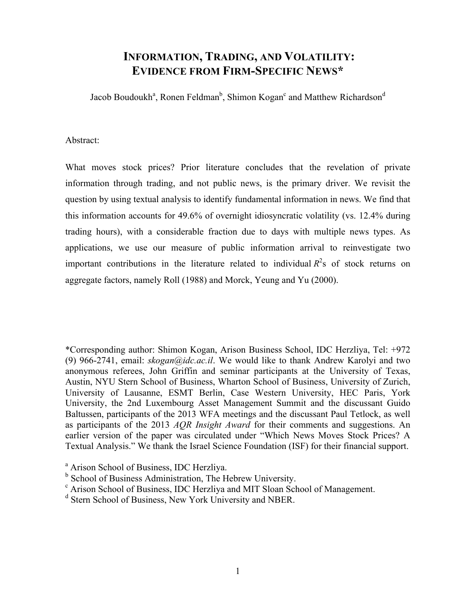# **INFORMATION, TRADING, AND VOLATILITY: EVIDENCE FROM FIRM-SPECIFIC NEWS\***

Jacob Boudoukh<sup>a</sup>, Ronen Feldman<sup>b</sup>, Shimon Kogan<sup>c</sup> and Matthew Richardson<sup>d</sup>

## Abstract:

What moves stock prices? Prior literature concludes that the revelation of private information through trading, and not public news, is the primary driver. We revisit the question by using textual analysis to identify fundamental information in news. We find that this information accounts for 49.6% of overnight idiosyncratic volatility (vs. 12.4% during trading hours), with a considerable fraction due to days with multiple news types. As applications, we use our measure of public information arrival to reinvestigate two important contributions in the literature related to individual  $R^2$ s of stock returns on aggregate factors, namely Roll (1988) and Morck, Yeung and Yu (2000).

\*Corresponding author: Shimon Kogan, Arison Business School, IDC Herzliya, Tel: +972 (9) 966-2741, email: *skogan@idc.ac.il*. We would like to thank Andrew Karolyi and two anonymous referees, John Griffin and seminar participants at the University of Texas, Austin, NYU Stern School of Business, Wharton School of Business, University of Zurich, University of Lausanne, ESMT Berlin, Case Western University, HEC Paris, York University, the 2nd Luxembourg Asset Management Summit and the discussant Guido Baltussen, participants of the 2013 WFA meetings and the discussant Paul Tetlock, as well as participants of the 2013 *AQR Insight Award* for their comments and suggestions. An earlier version of the paper was circulated under "Which News Moves Stock Prices? A Textual Analysis." We thank the Israel Science Foundation (ISF) for their financial support.

<sup>&</sup>lt;sup>a</sup> Arison School of Business, IDC Herzliya.<br><sup>b</sup> School of Business Administration, The Hebrew University.

 $\textdegree$  Arison School of Business, IDC Herzliya and MIT Sloan School of Management.  $\textdegree$  d Stern School of Business, New York University and NBER.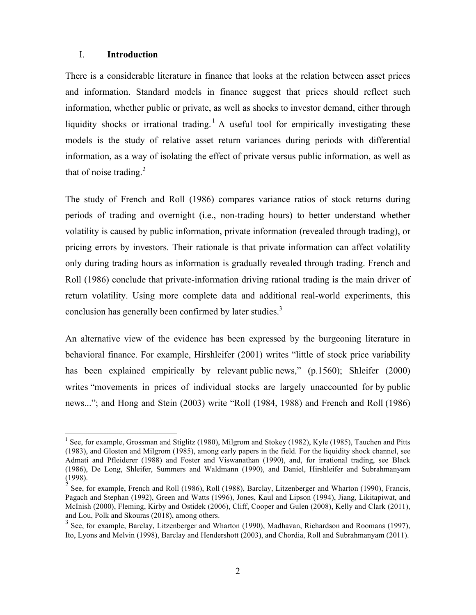#### I. **Introduction**

There is a considerable literature in finance that looks at the relation between asset prices and information. Standard models in finance suggest that prices should reflect such information, whether public or private, as well as shocks to investor demand, either through liquidity shocks or irrational trading.<sup>1</sup> A useful tool for empirically investigating these models is the study of relative asset return variances during periods with differential information, as a way of isolating the effect of private versus public information, as well as that of noise trading. $2$ 

The study of French and Roll (1986) compares variance ratios of stock returns during periods of trading and overnight (i.e., non-trading hours) to better understand whether volatility is caused by public information, private information (revealed through trading), or pricing errors by investors. Their rationale is that private information can affect volatility only during trading hours as information is gradually revealed through trading. French and Roll (1986) conclude that private-information driving rational trading is the main driver of return volatility. Using more complete data and additional real-world experiments, this conclusion has generally been confirmed by later studies.<sup>3</sup>

An alternative view of the evidence has been expressed by the burgeoning literature in behavioral finance. For example, Hirshleifer (2001) writes "little of stock price variability has been explained empirically by relevant public news," (p.1560); Shleifer (2000) writes "movements in prices of individual stocks are largely unaccounted for by public news..."; and Hong and Stein (2003) write "Roll (1984, 1988) and French and Roll (1986)

<sup>&</sup>lt;sup>1</sup> See, for example, Grossman and Stiglitz (1980), Milgrom and Stokey (1982), Kyle (1985), Tauchen and Pitts (1983), and Glosten and Milgrom (1985), among early papers in the field. For the liquidity shock channel, see Admati and Pfleiderer (1988) and Foster and Viswanathan (1990), and, for irrational trading, see Black (1986), De Long, Shleifer, Summers and Waldmann (1990), and Daniel, Hirshleifer and Subrahmanyam (1998).<br><sup>2</sup> See, for example, French and Roll (1986), Roll (1988), Barclay, Litzenberger and Wharton (1990), Francis,

Pagach and Stephan (1992), Green and Watts (1996), Jones, Kaul and Lipson (1994), Jiang, Likitapiwat, and McInish (2000), Fleming, Kirby and Ostidek (2006), Cliff, Cooper and Gulen (2008), Kelly and Clark (2011), and Lou, Polk and Skouras (2018), among others.

<sup>&</sup>lt;sup>3</sup> See, for example, Barclay, Litzenberger and Wharton (1990), Madhavan, Richardson and Roomans (1997), Ito, Lyons and Melvin (1998), Barclay and Hendershott (2003), and Chordia, Roll and Subrahmanyam (2011).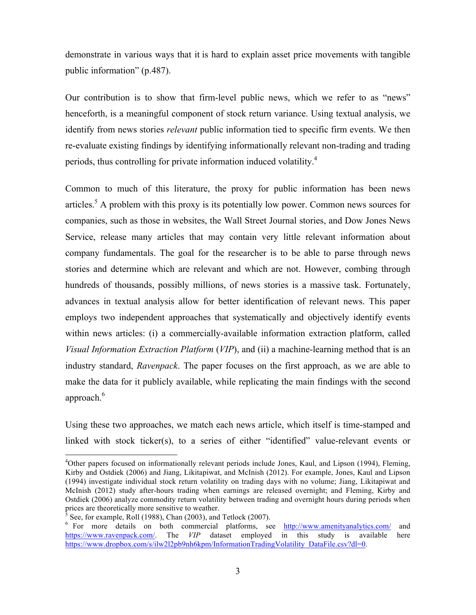demonstrate in various ways that it is hard to explain asset price movements with tangible public information" (p.487).

Our contribution is to show that firm-level public news, which we refer to as "news" henceforth, is a meaningful component of stock return variance. Using textual analysis, we identify from news stories *relevant* public information tied to specific firm events. We then re-evaluate existing findings by identifying informationally relevant non-trading and trading periods, thus controlling for private information induced volatility.<sup>4</sup>

Common to much of this literature, the proxy for public information has been news articles.<sup>5</sup> A problem with this proxy is its potentially low power. Common news sources for companies, such as those in websites, the Wall Street Journal stories, and Dow Jones News Service, release many articles that may contain very little relevant information about company fundamentals. The goal for the researcher is to be able to parse through news stories and determine which are relevant and which are not. However, combing through hundreds of thousands, possibly millions, of news stories is a massive task. Fortunately, advances in textual analysis allow for better identification of relevant news. This paper employs two independent approaches that systematically and objectively identify events within news articles: (i) a commercially-available information extraction platform, called *Visual Information Extraction Platform* (*VIP*), and (ii) a machine-learning method that is an industry standard, *Ravenpack*. The paper focuses on the first approach, as we are able to make the data for it publicly available, while replicating the main findings with the second approach.<sup>6</sup>

Using these two approaches, we match each news article, which itself is time-stamped and linked with stock ticker(s), to a series of either "identified" value-relevant events or

 $\frac{1}{4}$ <sup>4</sup>Other papers focused on informationally relevant periods include Jones, Kaul, and Lipson (1994), Fleming, Kirby and Ostdiek (2006) and Jiang, Likitapiwat, and McInish (2012). For example, Jones, Kaul and Lipson (1994) investigate individual stock return volatility on trading days with no volume; Jiang, Likitapiwat and McInish (2012) study after-hours trading when earnings are released overnight; and Fleming, Kirby and Ostdiek (2006) analyze commodity return volatility between trading and overnight hours during periods when prices are theoretically more sensitive to weather.<br><sup>5</sup> See, for example, Roll (1988), Chan (2003), and Tetlock (2007).<br><sup>6</sup> For more details on both commercial platforms, see <u>http://www.amenityanalytics.com/</u> and

https://www.ravenpack.com/. The *VIP* dataset employed in this study is available here https://www.dropbox.com/s/ilw2l2pb9nh6kpm/InformationTradingVolatility\_DataFile.csv?dl=0.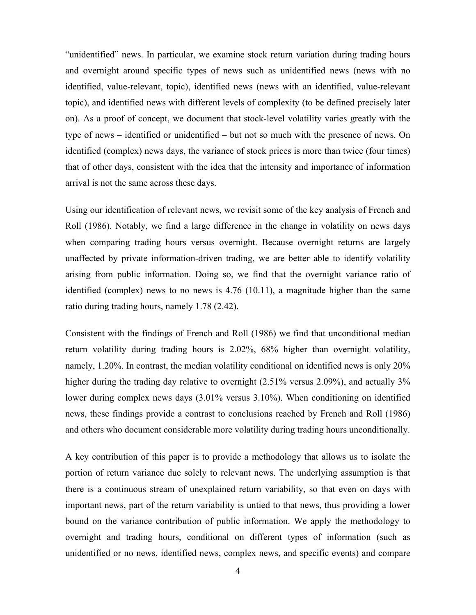"unidentified" news. In particular, we examine stock return variation during trading hours and overnight around specific types of news such as unidentified news (news with no identified, value-relevant, topic), identified news (news with an identified, value-relevant topic), and identified news with different levels of complexity (to be defined precisely later on). As a proof of concept, we document that stock-level volatility varies greatly with the type of news – identified or unidentified – but not so much with the presence of news. On identified (complex) news days, the variance of stock prices is more than twice (four times) that of other days, consistent with the idea that the intensity and importance of information arrival is not the same across these days.

Using our identification of relevant news, we revisit some of the key analysis of French and Roll (1986). Notably, we find a large difference in the change in volatility on news days when comparing trading hours versus overnight. Because overnight returns are largely unaffected by private information-driven trading, we are better able to identify volatility arising from public information. Doing so, we find that the overnight variance ratio of identified (complex) news to no news is 4.76 (10.11), a magnitude higher than the same ratio during trading hours, namely 1.78 (2.42).

Consistent with the findings of French and Roll (1986) we find that unconditional median return volatility during trading hours is 2.02%, 68% higher than overnight volatility, namely, 1.20%. In contrast, the median volatility conditional on identified news is only 20% higher during the trading day relative to overnight (2.51% versus 2.09%), and actually 3% lower during complex news days (3.01% versus 3.10%). When conditioning on identified news, these findings provide a contrast to conclusions reached by French and Roll (1986) and others who document considerable more volatility during trading hours unconditionally.

A key contribution of this paper is to provide a methodology that allows us to isolate the portion of return variance due solely to relevant news. The underlying assumption is that there is a continuous stream of unexplained return variability, so that even on days with important news, part of the return variability is untied to that news, thus providing a lower bound on the variance contribution of public information. We apply the methodology to overnight and trading hours, conditional on different types of information (such as unidentified or no news, identified news, complex news, and specific events) and compare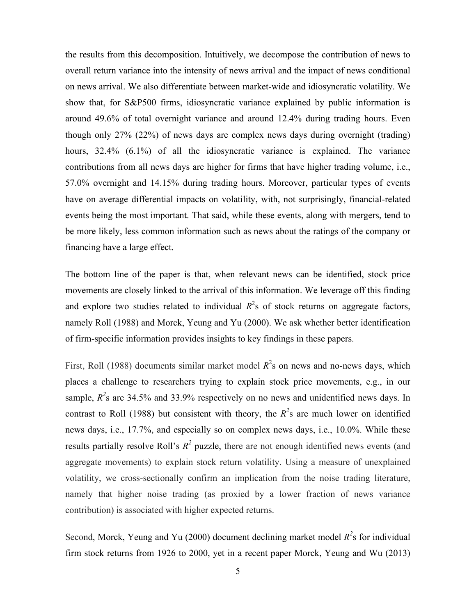the results from this decomposition. Intuitively, we decompose the contribution of news to overall return variance into the intensity of news arrival and the impact of news conditional on news arrival. We also differentiate between market-wide and idiosyncratic volatility. We show that, for S&P500 firms, idiosyncratic variance explained by public information is around 49.6% of total overnight variance and around 12.4% during trading hours. Even though only 27% (22%) of news days are complex news days during overnight (trading) hours, 32.4% (6.1%) of all the idiosyncratic variance is explained. The variance contributions from all news days are higher for firms that have higher trading volume, i.e., 57.0% overnight and 14.15% during trading hours. Moreover, particular types of events have on average differential impacts on volatility, with, not surprisingly, financial-related events being the most important. That said, while these events, along with mergers, tend to be more likely, less common information such as news about the ratings of the company or financing have a large effect.

The bottom line of the paper is that, when relevant news can be identified, stock price movements are closely linked to the arrival of this information. We leverage off this finding and explore two studies related to individual  $R^2$ s of stock returns on aggregate factors, namely Roll (1988) and Morck, Yeung and Yu (2000). We ask whether better identification of firm-specific information provides insights to key findings in these papers.

First, Roll (1988) documents similar market model  $R^2$ s on news and no-news days, which places a challenge to researchers trying to explain stock price movements, e.g., in our sample,  $R^2$ s are 34.5% and 33.9% respectively on no news and unidentified news days. In contrast to Roll (1988) but consistent with theory, the  $R^2$ s are much lower on identified news days, i.e., 17.7%, and especially so on complex news days, i.e., 10.0%. While these results partially resolve Roll's  $R^2$  puzzle, there are not enough identified news events (and aggregate movements) to explain stock return volatility. Using a measure of unexplained volatility, we cross-sectionally confirm an implication from the noise trading literature, namely that higher noise trading (as proxied by a lower fraction of news variance contribution) is associated with higher expected returns.

Second, Morck, Yeung and Yu (2000) document declining market model  $R^2$ s for individual firm stock returns from 1926 to 2000, yet in a recent paper Morck, Yeung and Wu (2013)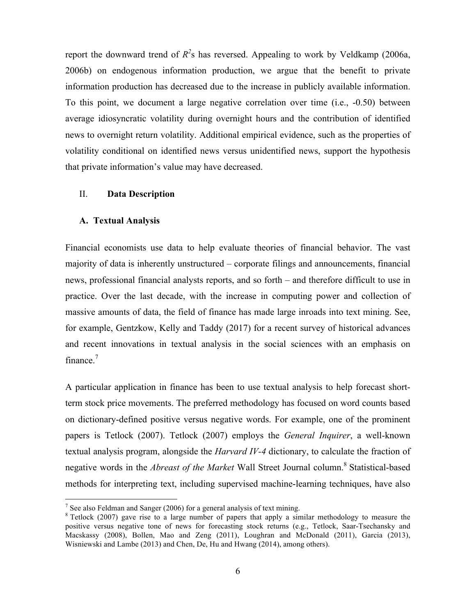report the downward trend of  $R^2$ s has reversed. Appealing to work by Veldkamp (2006a, 2006b) on endogenous information production, we argue that the benefit to private information production has decreased due to the increase in publicly available information. To this point, we document a large negative correlation over time (i.e., -0.50) between average idiosyncratic volatility during overnight hours and the contribution of identified news to overnight return volatility. Additional empirical evidence, such as the properties of volatility conditional on identified news versus unidentified news, support the hypothesis that private information's value may have decreased.

# II. **Data Description**

#### **A. Textual Analysis**

Financial economists use data to help evaluate theories of financial behavior. The vast majority of data is inherently unstructured – corporate filings and announcements, financial news, professional financial analysts reports, and so forth – and therefore difficult to use in practice. Over the last decade, with the increase in computing power and collection of massive amounts of data, the field of finance has made large inroads into text mining. See, for example, Gentzkow, Kelly and Taddy (2017) for a recent survey of historical advances and recent innovations in textual analysis in the social sciences with an emphasis on finance.<sup>7</sup>

A particular application in finance has been to use textual analysis to help forecast shortterm stock price movements. The preferred methodology has focused on word counts based on dictionary-defined positive versus negative words. For example, one of the prominent papers is Tetlock (2007). Tetlock (2007) employs the *General Inquirer*, a well-known textual analysis program, alongside the *Harvard IV-4* dictionary, to calculate the fraction of negative words in the *Abreast of the Market* Wall Street Journal column.<sup>8</sup> Statistical-based methods for interpreting text, including supervised machine-learning techniques, have also

 $<sup>7</sup>$  See also Feldman and Sanger (2006) for a general analysis of text mining.</sup>

<sup>&</sup>lt;sup>8</sup> Tetlock (2007) gave rise to a large number of papers that apply a similar methodology to measure the positive versus negative tone of news for forecasting stock returns (e.g., Tetlock, Saar-Tsechansky and Macskassy (2008), Bollen, Mao and Zeng (2011), Loughran and McDonald (2011), Garcia (2013), Wisniewski and Lambe (2013) and Chen, De, Hu and Hwang (2014), among others).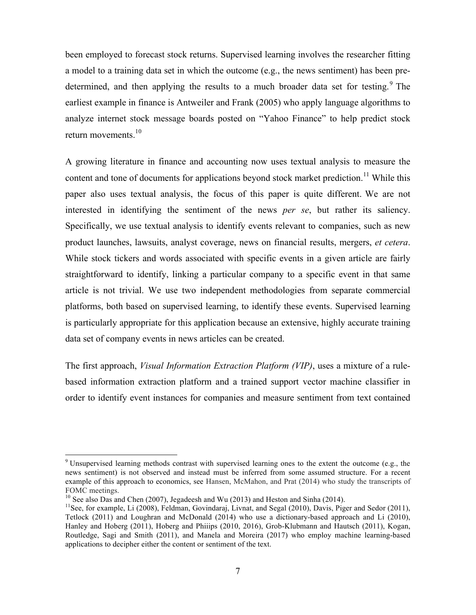been employed to forecast stock returns. Supervised learning involves the researcher fitting a model to a training data set in which the outcome (e.g., the news sentiment) has been predetermined, and then applying the results to a much broader data set for testing.<sup>9</sup> The earliest example in finance is Antweiler and Frank (2005) who apply language algorithms to analyze internet stock message boards posted on "Yahoo Finance" to help predict stock return movements.<sup>10</sup>

A growing literature in finance and accounting now uses textual analysis to measure the content and tone of documents for applications beyond stock market prediction.<sup>11</sup> While this paper also uses textual analysis, the focus of this paper is quite different. We are not interested in identifying the sentiment of the news *per se*, but rather its saliency. Specifically, we use textual analysis to identify events relevant to companies, such as new product launches, lawsuits, analyst coverage, news on financial results, mergers, *et cetera*. While stock tickers and words associated with specific events in a given article are fairly straightforward to identify, linking a particular company to a specific event in that same article is not trivial. We use two independent methodologies from separate commercial platforms, both based on supervised learning, to identify these events. Supervised learning is particularly appropriate for this application because an extensive, highly accurate training data set of company events in news articles can be created.

The first approach, *Visual Information Extraction Platform (VIP)*, uses a mixture of a rulebased information extraction platform and a trained support vector machine classifier in order to identify event instances for companies and measure sentiment from text contained

<sup>&</sup>lt;sup>9</sup> Unsupervised learning methods contrast with supervised learning ones to the extent the outcome (e.g., the news sentiment) is not observed and instead must be inferred from some assumed structure. For a recent example of this approach to economics, see Hansen, McMahon, and Prat (2014) who study the transcripts of FOMC meetings.<br><sup>10</sup> See also Das and Chen (2007), Jegadeesh and Wu (2013) and Heston and Sinha (2014).

<sup>&</sup>lt;sup>11</sup> See, for example, Li (2008), Feldman, Govindaraj, Livnat, and Segal (2010), Davis, Piger and Sedor (2011), Tetlock (2011) and Loughran and McDonald (2014) who use a dictionary-based approach and Li (2010), Hanley and Hoberg (2011), Hoberg and Phiiips (2010, 2016), Grob-Klubmann and Hautsch (2011), Kogan, Routledge, Sagi and Smith (2011), and Manela and Moreira (2017) who employ machine learning-based applications to decipher either the content or sentiment of the text.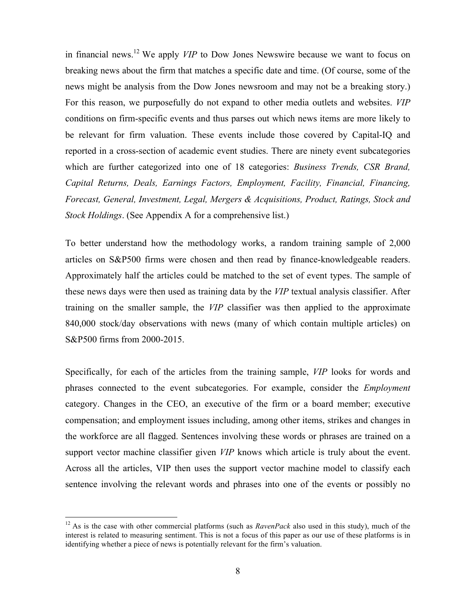in financial news. <sup>12</sup> We apply *VIP* to Dow Jones Newswire because we want to focus on breaking news about the firm that matches a specific date and time. (Of course, some of the news might be analysis from the Dow Jones newsroom and may not be a breaking story.) For this reason, we purposefully do not expand to other media outlets and websites. *VIP* conditions on firm-specific events and thus parses out which news items are more likely to be relevant for firm valuation. These events include those covered by Capital-IQ and reported in a cross-section of academic event studies. There are ninety event subcategories which are further categorized into one of 18 categories: *Business Trends, CSR Brand, Capital Returns, Deals, Earnings Factors, Employment, Facility, Financial, Financing, Forecast, General, Investment, Legal, Mergers & Acquisitions, Product, Ratings, Stock and Stock Holdings*. (See Appendix A for a comprehensive list.)

To better understand how the methodology works, a random training sample of 2,000 articles on S&P500 firms were chosen and then read by finance-knowledgeable readers. Approximately half the articles could be matched to the set of event types. The sample of these news days were then used as training data by the *VIP* textual analysis classifier. After training on the smaller sample, the *VIP* classifier was then applied to the approximate 840,000 stock/day observations with news (many of which contain multiple articles) on S&P500 firms from 2000-2015.

Specifically, for each of the articles from the training sample, *VIP* looks for words and phrases connected to the event subcategories. For example, consider the *Employment* category. Changes in the CEO, an executive of the firm or a board member; executive compensation; and employment issues including, among other items, strikes and changes in the workforce are all flagged. Sentences involving these words or phrases are trained on a support vector machine classifier given *VIP* knows which article is truly about the event. Across all the articles, VIP then uses the support vector machine model to classify each sentence involving the relevant words and phrases into one of the events or possibly no

 <sup>12</sup> As is the case with other commercial platforms (such as *RavenPack* also used in this study), much of the interest is related to measuring sentiment. This is not a focus of this paper as our use of these platforms is in identifying whether a piece of news is potentially relevant for the firm's valuation.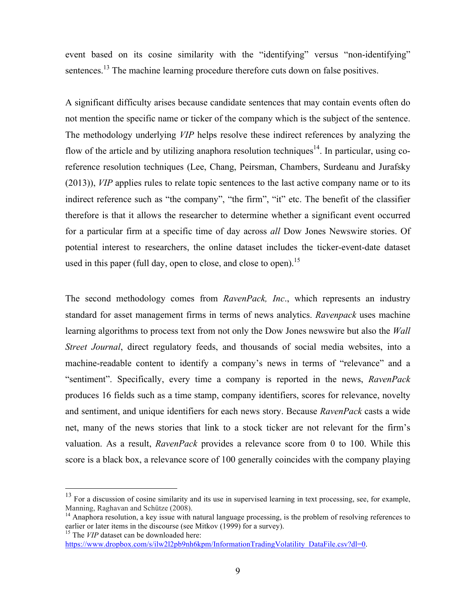event based on its cosine similarity with the "identifying" versus "non-identifying" sentences.<sup>13</sup> The machine learning procedure therefore cuts down on false positives.

A significant difficulty arises because candidate sentences that may contain events often do not mention the specific name or ticker of the company which is the subject of the sentence. The methodology underlying *VIP* helps resolve these indirect references by analyzing the flow of the article and by utilizing anaphora resolution techniques<sup>14</sup>. In particular, using coreference resolution techniques (Lee, Chang, Peirsman, Chambers, Surdeanu and Jurafsky (2013)), *VIP* applies rules to relate topic sentences to the last active company name or to its indirect reference such as "the company", "the firm", "it" etc. The benefit of the classifier therefore is that it allows the researcher to determine whether a significant event occurred for a particular firm at a specific time of day across *all* Dow Jones Newswire stories. Of potential interest to researchers, the online dataset includes the ticker-event-date dataset used in this paper (full day, open to close, and close to open).<sup>15</sup>

The second methodology comes from *RavenPack, Inc*., which represents an industry standard for asset management firms in terms of news analytics. *Ravenpack* uses machine learning algorithms to process text from not only the Dow Jones newswire but also the *Wall Street Journal*, direct regulatory feeds, and thousands of social media websites, into a machine-readable content to identify a company's news in terms of "relevance" and a "sentiment". Specifically, every time a company is reported in the news, *RavenPack*  produces 16 fields such as a time stamp, company identifiers, scores for relevance, novelty and sentiment, and unique identifiers for each news story. Because *RavenPack* casts a wide net, many of the news stories that link to a stock ticker are not relevant for the firm's valuation. As a result, *RavenPack* provides a relevance score from 0 to 100. While this score is a black box, a relevance score of 100 generally coincides with the company playing

<sup>&</sup>lt;sup>13</sup> For a discussion of cosine similarity and its use in supervised learning in text processing, see, for example, Manning, Raghavan and Schütze (2008).<br><sup>14</sup> Anaphora resolution, a key issue with natural language processing, is the problem of resolving references to

earlier or later items in the discourse (see Mitkov (1999) for a survey). <sup>15</sup> The *VIP* dataset can be downloaded here:

https://www.dropbox.com/s/ilw2l2pb9nh6kpm/InformationTradingVolatility\_DataFile.csv?dl=0.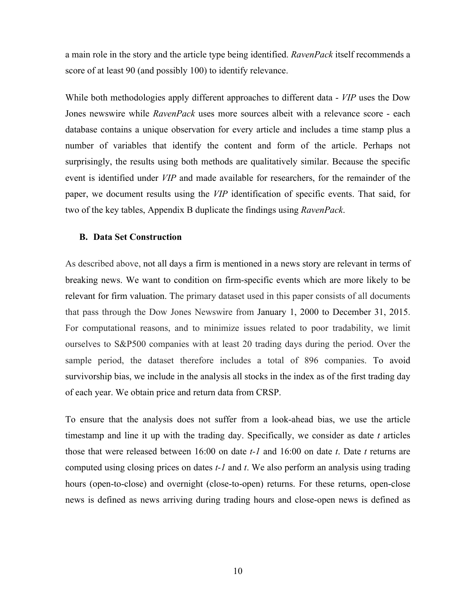a main role in the story and the article type being identified. *RavenPack* itself recommends a score of at least 90 (and possibly 100) to identify relevance.

While both methodologies apply different approaches to different data - *VIP* uses the Dow Jones newswire while *RavenPack* uses more sources albeit with a relevance score - each database contains a unique observation for every article and includes a time stamp plus a number of variables that identify the content and form of the article. Perhaps not surprisingly, the results using both methods are qualitatively similar. Because the specific event is identified under *VIP* and made available for researchers, for the remainder of the paper, we document results using the *VIP* identification of specific events. That said, for two of the key tables, Appendix B duplicate the findings using *RavenPack*.

## **B. Data Set Construction**

As described above, not all days a firm is mentioned in a news story are relevant in terms of breaking news. We want to condition on firm-specific events which are more likely to be relevant for firm valuation. The primary dataset used in this paper consists of all documents that pass through the Dow Jones Newswire from January 1, 2000 to December 31, 2015. For computational reasons, and to minimize issues related to poor tradability, we limit ourselves to S&P500 companies with at least 20 trading days during the period. Over the sample period, the dataset therefore includes a total of 896 companies. To avoid survivorship bias, we include in the analysis all stocks in the index as of the first trading day of each year. We obtain price and return data from CRSP.

To ensure that the analysis does not suffer from a look-ahead bias, we use the article timestamp and line it up with the trading day. Specifically, we consider as date *t* articles those that were released between 16:00 on date *t-1* and 16:00 on date *t*. Date *t* returns are computed using closing prices on dates *t-1* and *t*. We also perform an analysis using trading hours (open-to-close) and overnight (close-to-open) returns. For these returns, open-close news is defined as news arriving during trading hours and close-open news is defined as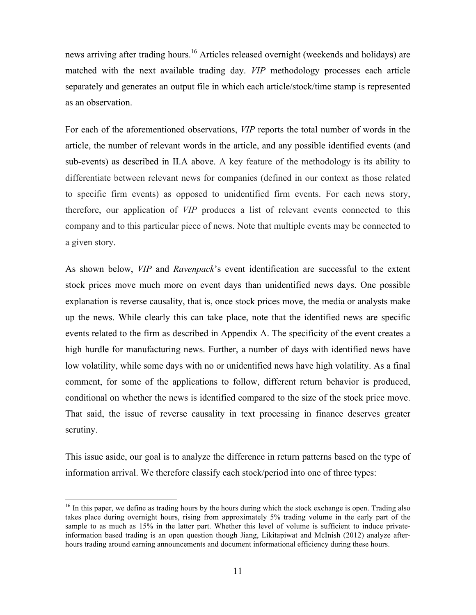news arriving after trading hours.<sup>16</sup> Articles released overnight (weekends and holidays) are matched with the next available trading day. *VIP* methodology processes each article separately and generates an output file in which each article/stock/time stamp is represented as an observation.

For each of the aforementioned observations, *VIP* reports the total number of words in the article, the number of relevant words in the article, and any possible identified events (and sub-events) as described in II.A above. A key feature of the methodology is its ability to differentiate between relevant news for companies (defined in our context as those related to specific firm events) as opposed to unidentified firm events. For each news story, therefore, our application of *VIP* produces a list of relevant events connected to this company and to this particular piece of news. Note that multiple events may be connected to a given story.

As shown below, *VIP* and *Ravenpack*'s event identification are successful to the extent stock prices move much more on event days than unidentified news days. One possible explanation is reverse causality, that is, once stock prices move, the media or analysts make up the news. While clearly this can take place, note that the identified news are specific events related to the firm as described in Appendix A. The specificity of the event creates a high hurdle for manufacturing news. Further, a number of days with identified news have low volatility, while some days with no or unidentified news have high volatility. As a final comment, for some of the applications to follow, different return behavior is produced, conditional on whether the news is identified compared to the size of the stock price move. That said, the issue of reverse causality in text processing in finance deserves greater scrutiny.

This issue aside, our goal is to analyze the difference in return patterns based on the type of information arrival. We therefore classify each stock/period into one of three types:

<sup>&</sup>lt;sup>16</sup> In this paper, we define as trading hours by the hours during which the stock exchange is open. Trading also takes place during overnight hours, rising from approximately 5% trading volume in the early part of the sample to as much as 15% in the latter part. Whether this level of volume is sufficient to induce privateinformation based trading is an open question though Jiang, Likitapiwat and McInish (2012) analyze afterhours trading around earning announcements and document informational efficiency during these hours.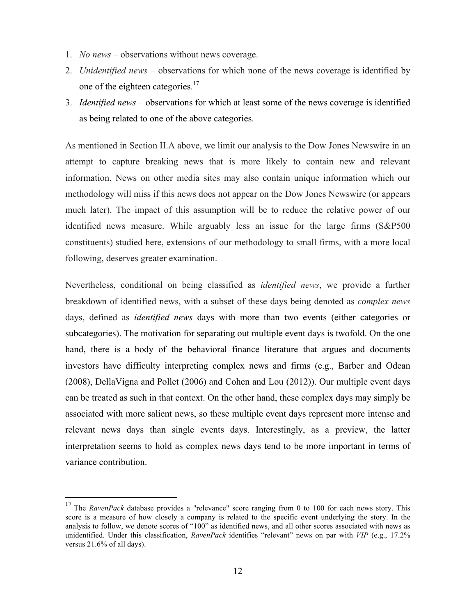- 1. *No news* observations without news coverage.
- 2. *Unidentified news* observations for which none of the news coverage is identified by one of the eighteen categories.<sup>17</sup>
- 3. *Identified news* observations for which at least some of the news coverage is identified as being related to one of the above categories.

As mentioned in Section II.A above, we limit our analysis to the Dow Jones Newswire in an attempt to capture breaking news that is more likely to contain new and relevant information. News on other media sites may also contain unique information which our methodology will miss if this news does not appear on the Dow Jones Newswire (or appears much later). The impact of this assumption will be to reduce the relative power of our identified news measure. While arguably less an issue for the large firms (S&P500 constituents) studied here, extensions of our methodology to small firms, with a more local following, deserves greater examination.

Nevertheless, conditional on being classified as *identified news*, we provide a further breakdown of identified news, with a subset of these days being denoted as *complex news* days, defined as *identified news* days with more than two events (either categories or subcategories). The motivation for separating out multiple event days is twofold. On the one hand, there is a body of the behavioral finance literature that argues and documents investors have difficulty interpreting complex news and firms (e.g., Barber and Odean (2008), DellaVigna and Pollet (2006) and Cohen and Lou (2012)). Our multiple event days can be treated as such in that context. On the other hand, these complex days may simply be associated with more salient news, so these multiple event days represent more intense and relevant news days than single events days. Interestingly, as a preview, the latter interpretation seems to hold as complex news days tend to be more important in terms of variance contribution.

<sup>&</sup>lt;sup>17</sup> The *RavenPack* database provides a "relevance" score ranging from 0 to 100 for each news story. This score is a measure of how closely a company is related to the specific event underlying the story. In the analysis to follow, we denote scores of "100" as identified news, and all other scores associated with news as unidentified. Under this classification, *RavenPack* identifies "relevant" news on par with *VIP* (e.g., 17.2% versus 21.6% of all days).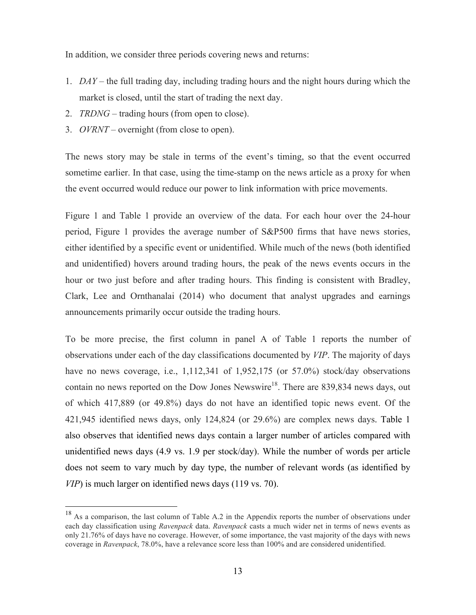In addition, we consider three periods covering news and returns:

- 1. *DAY* the full trading day, including trading hours and the night hours during which the market is closed, until the start of trading the next day.
- 2. *TRDNG* trading hours (from open to close).
- 3. *OVRNT* overnight (from close to open).

The news story may be stale in terms of the event's timing, so that the event occurred sometime earlier. In that case, using the time-stamp on the news article as a proxy for when the event occurred would reduce our power to link information with price movements.

Figure 1 and Table 1 provide an overview of the data. For each hour over the 24-hour period, Figure 1 provides the average number of S&P500 firms that have news stories, either identified by a specific event or unidentified. While much of the news (both identified and unidentified) hovers around trading hours, the peak of the news events occurs in the hour or two just before and after trading hours. This finding is consistent with Bradley, Clark, Lee and Ornthanalai (2014) who document that analyst upgrades and earnings announcements primarily occur outside the trading hours.

To be more precise, the first column in panel A of Table 1 reports the number of observations under each of the day classifications documented by *VIP*. The majority of days have no news coverage, i.e., 1,112,341 of 1,952,175 (or 57.0%) stock/day observations contain no news reported on the Dow Jones Newswire<sup>18</sup>. There are 839,834 news days, out of which 417,889 (or 49.8%) days do not have an identified topic news event. Of the 421,945 identified news days, only 124,824 (or 29.6%) are complex news days. Table 1 also observes that identified news days contain a larger number of articles compared with unidentified news days (4.9 vs. 1.9 per stock/day). While the number of words per article does not seem to vary much by day type, the number of relevant words (as identified by *VIP*) is much larger on identified news days (119 vs. 70).

<sup>&</sup>lt;sup>18</sup> As a comparison, the last column of Table A.2 in the Appendix reports the number of observations under each day classification using *Ravenpack* data. *Ravenpack* casts a much wider net in terms of news events as only 21.76% of days have no coverage. However, of some importance, the vast majority of the days with news coverage in *Ravenpack*, 78.0%, have a relevance score less than 100% and are considered unidentified.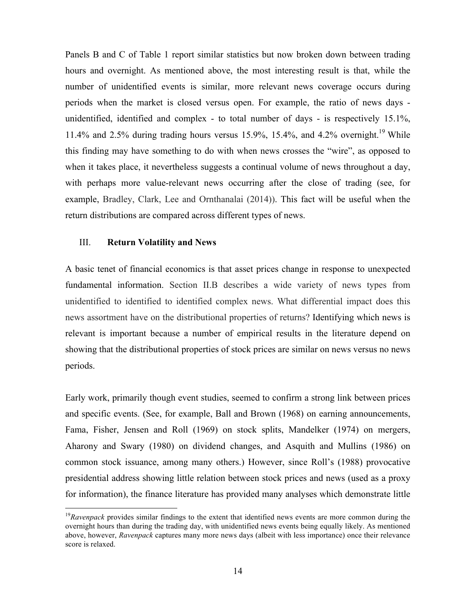Panels B and C of Table 1 report similar statistics but now broken down between trading hours and overnight. As mentioned above, the most interesting result is that, while the number of unidentified events is similar, more relevant news coverage occurs during periods when the market is closed versus open. For example, the ratio of news days unidentified, identified and complex - to total number of days - is respectively 15.1%, 11.4% and 2.5% during trading hours versus 15.9%, 15.4%, and 4.2% overnight.<sup>19</sup> While this finding may have something to do with when news crosses the "wire", as opposed to when it takes place, it nevertheless suggests a continual volume of news throughout a day, with perhaps more value-relevant news occurring after the close of trading (see, for example, Bradley, Clark, Lee and Ornthanalai (2014)). This fact will be useful when the return distributions are compared across different types of news.

#### III. **Return Volatility and News**

A basic tenet of financial economics is that asset prices change in response to unexpected fundamental information. Section II.B describes a wide variety of news types from unidentified to identified to identified complex news. What differential impact does this news assortment have on the distributional properties of returns? Identifying which news is relevant is important because a number of empirical results in the literature depend on showing that the distributional properties of stock prices are similar on news versus no news periods.

Early work, primarily though event studies, seemed to confirm a strong link between prices and specific events. (See, for example, Ball and Brown (1968) on earning announcements, Fama, Fisher, Jensen and Roll (1969) on stock splits, Mandelker (1974) on mergers, Aharony and Swary (1980) on dividend changes, and Asquith and Mullins (1986) on common stock issuance, among many others.) However, since Roll's (1988) provocative presidential address showing little relation between stock prices and news (used as a proxy for information), the finance literature has provided many analyses which demonstrate little

<sup>&</sup>lt;sup>19</sup>Ravenpack provides similar findings to the extent that identified news events are more common during the overnight hours than during the trading day, with unidentified news events being equally likely. As mentioned above, however, *Ravenpack* captures many more news days (albeit with less importance) once their relevance score is relaxed.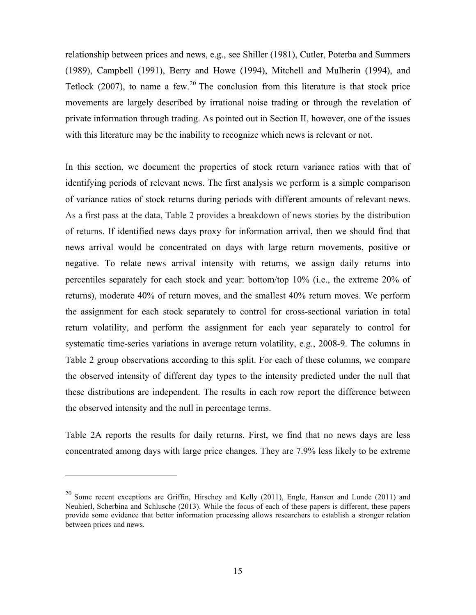relationship between prices and news, e.g., see Shiller (1981), Cutler, Poterba and Summers (1989), Campbell (1991), Berry and Howe (1994), Mitchell and Mulherin (1994), and Tetlock (2007), to name a few.<sup>20</sup> The conclusion from this literature is that stock price movements are largely described by irrational noise trading or through the revelation of private information through trading. As pointed out in Section II, however, one of the issues with this literature may be the inability to recognize which news is relevant or not.

In this section, we document the properties of stock return variance ratios with that of identifying periods of relevant news. The first analysis we perform is a simple comparison of variance ratios of stock returns during periods with different amounts of relevant news. As a first pass at the data, Table 2 provides a breakdown of news stories by the distribution of returns. If identified news days proxy for information arrival, then we should find that news arrival would be concentrated on days with large return movements, positive or negative. To relate news arrival intensity with returns, we assign daily returns into percentiles separately for each stock and year: bottom/top 10% (i.e., the extreme 20% of returns), moderate 40% of return moves, and the smallest 40% return moves. We perform the assignment for each stock separately to control for cross-sectional variation in total return volatility, and perform the assignment for each year separately to control for systematic time-series variations in average return volatility, e.g., 2008-9. The columns in Table 2 group observations according to this split. For each of these columns, we compare the observed intensity of different day types to the intensity predicted under the null that these distributions are independent. The results in each row report the difference between the observed intensity and the null in percentage terms.

Table 2A reports the results for daily returns. First, we find that no news days are less concentrated among days with large price changes. They are 7.9% less likely to be extreme

 $\overline{a}$ 

<sup>&</sup>lt;sup>20</sup> Some recent exceptions are Griffin, Hirschey and Kelly (2011), Engle, Hansen and Lunde (2011) and Neuhierl, Scherbina and Schlusche (2013). While the focus of each of these papers is different, these papers provide some evidence that better information processing allows researchers to establish a stronger relation between prices and news.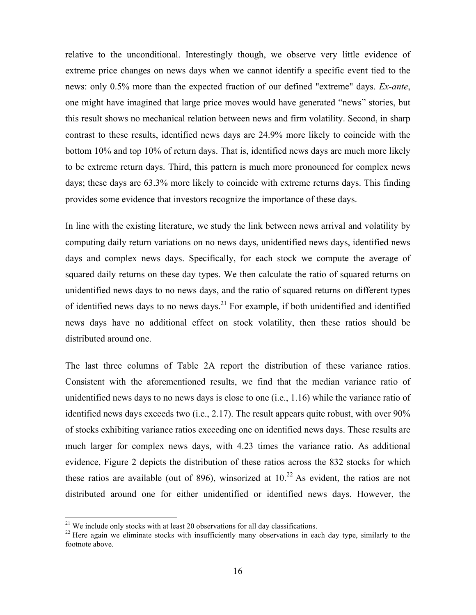relative to the unconditional. Interestingly though, we observe very little evidence of extreme price changes on news days when we cannot identify a specific event tied to the news: only 0.5% more than the expected fraction of our defined "extreme" days. *Ex-ante*, one might have imagined that large price moves would have generated "news" stories, but this result shows no mechanical relation between news and firm volatility. Second, in sharp contrast to these results, identified news days are 24.9% more likely to coincide with the bottom 10% and top 10% of return days. That is, identified news days are much more likely to be extreme return days. Third, this pattern is much more pronounced for complex news days; these days are 63.3% more likely to coincide with extreme returns days. This finding provides some evidence that investors recognize the importance of these days.

In line with the existing literature, we study the link between news arrival and volatility by computing daily return variations on no news days, unidentified news days, identified news days and complex news days. Specifically, for each stock we compute the average of squared daily returns on these day types. We then calculate the ratio of squared returns on unidentified news days to no news days, and the ratio of squared returns on different types of identified news days to no news days.21 For example, if both unidentified and identified news days have no additional effect on stock volatility, then these ratios should be distributed around one.

The last three columns of Table 2A report the distribution of these variance ratios. Consistent with the aforementioned results, we find that the median variance ratio of unidentified news days to no news days is close to one (i.e., 1.16) while the variance ratio of identified news days exceeds two (i.e., 2.17). The result appears quite robust, with over 90% of stocks exhibiting variance ratios exceeding one on identified news days. These results are much larger for complex news days, with 4.23 times the variance ratio. As additional evidence, Figure 2 depicts the distribution of these ratios across the 832 stocks for which these ratios are available (out of 896), winsorized at  $10<sup>22</sup>$  As evident, the ratios are not distributed around one for either unidentified or identified news days. However, the

<sup>&</sup>lt;sup>21</sup> We include only stocks with at least 20 observations for all day classifications.<br><sup>22</sup> Here again we eliminate stocks with insufficiently many observations in each day type, similarly to the footnote above.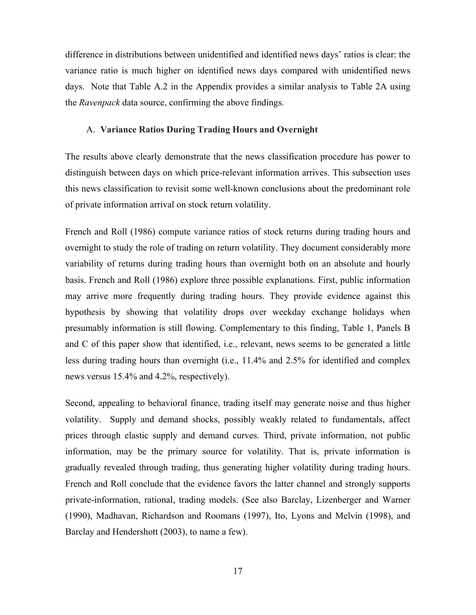difference in distributions between unidentified and identified news days' ratios is clear: the variance ratio is much higher on identified news days compared with unidentified news days. Note that Table A.2 in the Appendix provides a similar analysis to Table 2A using the *Ravenpack* data source, confirming the above findings.

## A. **Variance Ratios During Trading Hours and Overnight**

The results above clearly demonstrate that the news classification procedure has power to distinguish between days on which price-relevant information arrives. This subsection uses this news classification to revisit some well-known conclusions about the predominant role of private information arrival on stock return volatility.

French and Roll (1986) compute variance ratios of stock returns during trading hours and overnight to study the role of trading on return volatility. They document considerably more variability of returns during trading hours than overnight both on an absolute and hourly basis. French and Roll (1986) explore three possible explanations. First, public information may arrive more frequently during trading hours. They provide evidence against this hypothesis by showing that volatility drops over weekday exchange holidays when presumably information is still flowing. Complementary to this finding, Table 1, Panels B and C of this paper show that identified, i.e., relevant, news seems to be generated a little less during trading hours than overnight (i.e., 11.4% and 2.5% for identified and complex news versus 15.4% and 4.2%, respectively).

Second, appealing to behavioral finance, trading itself may generate noise and thus higher volatility. Supply and demand shocks, possibly weakly related to fundamentals, affect prices through elastic supply and demand curves. Third, private information, not public information, may be the primary source for volatility. That is, private information is gradually revealed through trading, thus generating higher volatility during trading hours. French and Roll conclude that the evidence favors the latter channel and strongly supports private-information, rational, trading models. (See also Barclay, Lizenberger and Warner (1990), Madhavan, Richardson and Roomans (1997), Ito, Lyons and Melvin (1998), and Barclay and Hendershott (2003), to name a few).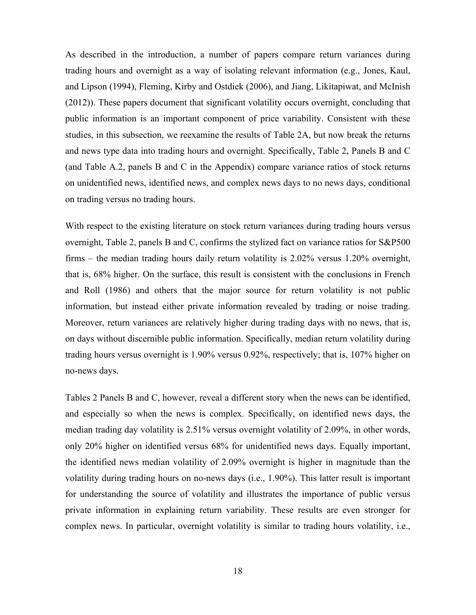As described in the introduction, a number of papers compare return variances during trading hours and overnight as a way of isolating relevant information (e.g., Jones, Kaul, and Lipson (1994), Fleming, Kirby and Ostdiek (2006), and Jiang, Likitapiwat, and McInish (2012)). These papers document that significant volatility occurs overnight, concluding that public information is an important component of price variability. Consistent with these studies, in this subsection, we reexamine the results of Table 2A, but now break the returns and news type data into trading hours and overnight. Specifically, Table 2, Panels B and C (and Table A.2, panels B and C in the Appendix) compare variance ratios of stock returns on unidentified news, identified news, and complex news days to no news days, conditional on trading versus no trading hours.

With respect to the existing literature on stock return variances during trading hours versus overnight, Table 2, panels B and C, confirms the stylized fact on variance ratios for S&P500 firms – the median trading hours daily return volatility is 2.02% versus 1.20% overnight, that is, 68% higher. On the surface, this result is consistent with the conclusions in French and Roll (1986) and others that the major source for return volatility is not public information, but instead either private information revealed by trading or noise trading. Moreover, return variances are relatively higher during trading days with no news, that is, on days without discernible public information. Specifically, median return volatility during trading hours versus overnight is 1.90% versus 0.92%, respectively; that is, 107% higher on no-news days.

Tables 2 Panels B and C, however, reveal a different story when the news can be identified, and especially so when the news is complex. Specifically, on identified news days, the median trading day volatility is 2.51% versus overnight volatility of 2.09%, in other words, only 20% higher on identified versus 68% for unidentified news days. Equally important, the identified news median volatility of 2.09% overnight is higher in magnitude than the volatility during trading hours on no-news days (i.e., 1.90%). This latter result is important for understanding the source of volatility and illustrates the importance of public versus private information in explaining return variability. These results are even stronger for complex news. In particular, overnight volatility is similar to trading hours volatility, i.e.,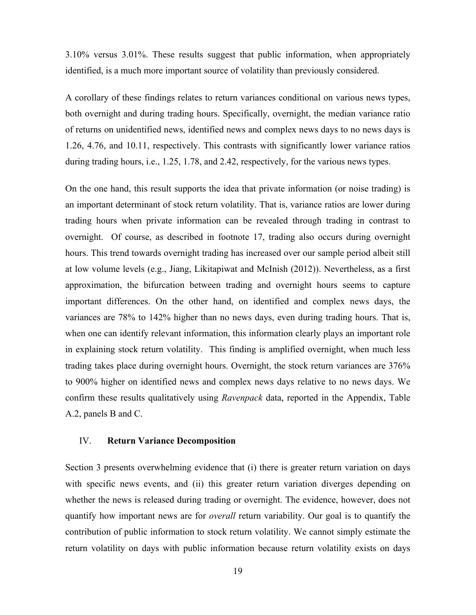3.10% versus 3.01%. These results suggest that public information, when appropriately identified, is a much more important source of volatility than previously considered.

A corollary of these findings relates to return variances conditional on various news types, both overnight and during trading hours. Specifically, overnight, the median variance ratio of returns on unidentified news, identified news and complex news days to no news days is 1.26, 4.76, and 10.11, respectively. This contrasts with significantly lower variance ratios during trading hours, i.e., 1.25, 1.78, and 2.42, respectively, for the various news types.

On the one hand, this result supports the idea that private information (or noise trading) is an important determinant of stock return volatility. That is, variance ratios are lower during trading hours when private information can be revealed through trading in contrast to overnight. Of course, as described in footnote 17, trading also occurs during overnight hours. This trend towards overnight trading has increased over our sample period albeit still at low volume levels (e.g., Jiang, Likitapiwat and McInish (2012)). Nevertheless, as a first approximation, the bifurcation between trading and overnight hours seems to capture important differences. On the other hand, on identified and complex news days, the variances are 78% to 142% higher than no news days, even during trading hours. That is, when one can identify relevant information, this information clearly plays an important role in explaining stock return volatility. This finding is amplified overnight, when much less trading takes place during overnight hours. Overnight, the stock return variances are 376% to 900% higher on identified news and complex news days relative to no news days. We confirm these results qualitatively using *Ravenpack* data, reported in the Appendix, Table A.2, panels B and C.

# IV. **Return Variance Decomposition**

Section 3 presents overwhelming evidence that (i) there is greater return variation on days with specific news events, and (ii) this greater return variation diverges depending on whether the news is released during trading or overnight. The evidence, however, does not quantify how important news are for *overall* return variability. Our goal is to quantify the contribution of public information to stock return volatility. We cannot simply estimate the return volatility on days with public information because return volatility exists on days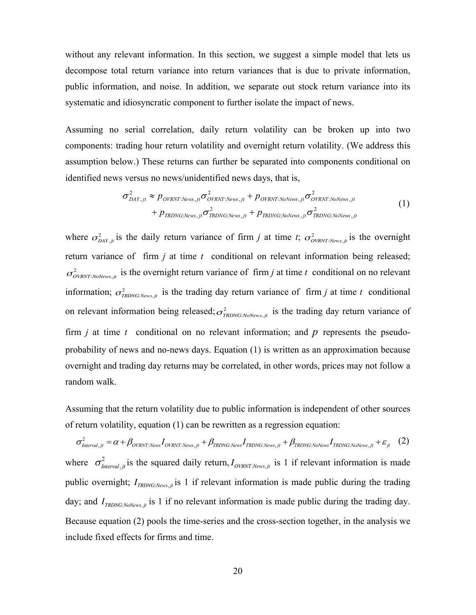without any relevant information. In this section, we suggest a simple model that lets us decompose total return variance into return variances that is due to private information, public information, and noise. In addition, we separate out stock return variance into its systematic and idiosyncratic component to further isolate the impact of news.

Assuming no serial correlation, daily return volatility can be broken up into two components: trading hour return volatility and overnight return volatility. (We address this assumption below.) These returns can further be separated into components conditional on identified news versus no news/unidentified news days, that is,

$$
\sigma_{\text{DAT},jt}^2 \approx p_{\text{OFRT:News},jt} \sigma_{\text{OFRT:News},jt}^2 + p_{\text{OFRT:NoNews},jt} \sigma_{\text{OFRT:NoNews},jt}^2 + p_{\text{TRDNG:News},jt} \tag{1}
$$
\n
$$
+ p_{\text{TRDNG: News},jt} \sigma_{\text{TRDNG:News},jt}^2 + p_{\text{TRDNG:NoNews},jt} \sigma_{\text{TRDNG:NoNews},jt}^2
$$

where  $\sigma_{DAY,j}^2$  is the daily return variance of firm *j* at time *t*;  $\sigma_{OVRNT:News,jt}^2$  is the overnight return variance of firm *j* at time *t* conditional on relevant information being released;  $\sigma_{\text{OVRNT:NoNews}, j_t}^2$  is the overnight return variance of firm *j* at time *t* conditional on no relevant information;  $\sigma_{\text{TRDNG:News}, j_t}^2$  is the trading day return variance of firm *j* at time *t* conditional on relevant information being released;  $\sigma_{TRDNG:NoNews,j}^2$  is the trading day return variance of firm *j* at time *t* conditional on no relevant information; and *p* represents the pseudoprobability of news and no-news days. Equation (1) is written as an approximation because overnight and trading day returns may be correlated, in other words, prices may not follow a random walk.

Assuming that the return volatility due to public information is independent of other sources of return volatility, equation (1) can be rewritten as a regression equation:

 $\sigma_{\text{Interval},jt}^2 = \alpha + \beta_{\text{OVRNT:News}} I_{\text{OVRNT:News},jt} + \beta_{\text{TRDNG:News},jt} I_{\text{TRDNG: Noves},jt} + \beta_{\text{TRDNG: NoNews},jt} I_{\text{TRDNG: NoNews},jt} + \varepsilon_{jt} \quad (2)$ where  $\sigma_{Interval, j_t}^2$  is the squared daily return,  $I_{OVRNT:News, j_t}$  is 1 if relevant information is made public overnight;  $I_{TRDNG:News, it}$  is 1 if relevant information is made public during the trading day; and  $I_{TRDNG:NoNews,jt}$  is 1 if no relevant information is made public during the trading day. Because equation (2) pools the time-series and the cross-section together, in the analysis we include fixed effects for firms and time.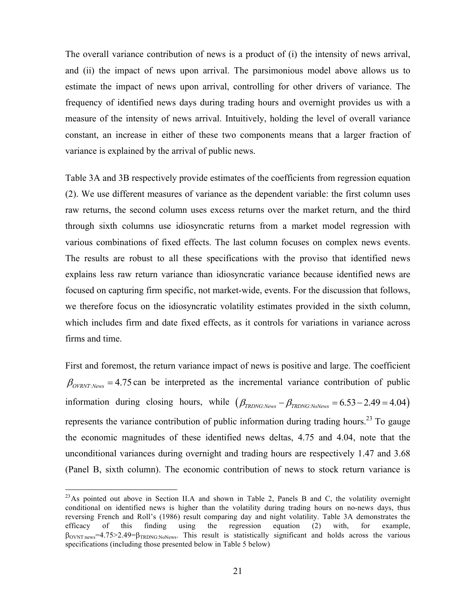The overall variance contribution of news is a product of (i) the intensity of news arrival, and (ii) the impact of news upon arrival. The parsimonious model above allows us to estimate the impact of news upon arrival, controlling for other drivers of variance. The frequency of identified news days during trading hours and overnight provides us with a measure of the intensity of news arrival. Intuitively, holding the level of overall variance constant, an increase in either of these two components means that a larger fraction of variance is explained by the arrival of public news.

Table 3A and 3B respectively provide estimates of the coefficients from regression equation (2). We use different measures of variance as the dependent variable: the first column uses raw returns, the second column uses excess returns over the market return, and the third through sixth columns use idiosyncratic returns from a market model regression with various combinations of fixed effects. The last column focuses on complex news events. The results are robust to all these specifications with the proviso that identified news explains less raw return variance than idiosyncratic variance because identified news are focused on capturing firm specific, not market-wide, events. For the discussion that follows, we therefore focus on the idiosyncratic volatility estimates provided in the sixth column, which includes firm and date fixed effects, as it controls for variations in variance across firms and time.

First and foremost, the return variance impact of news is positive and large. The coefficient  $\beta_{\text{OFANT:News}} = 4.75 \text{ can be interpreted as the incremental variance contribution of public}$ information during closing hours, while  $(\beta_{TRDNG:News} - \beta_{TRDNG: Now} = 6.53 - 2.49 = 4.04)$ represents the variance contribution of public information during trading hours.<sup>23</sup> To gauge the economic magnitudes of these identified news deltas, 4.75 and 4.04, note that the unconditional variances during overnight and trading hours are respectively 1.47 and 3.68 (Panel B, sixth column). The economic contribution of news to stock return variance is

 $23$ As pointed out above in Section II.A and shown in Table 2, Panels B and C, the volatility overnight conditional on identified news is higher than the volatility during trading hours on no-news days, thus reversing French and Roll's (1986) result comparing day and night volatility. Table 3A demonstrates the efficacy of this finding using the regression equation (2) with, for example,  $\beta_{\text{OVNT:news}}=4.75>2.49=\beta_{\text{TRDNG:NoNews}}$ . This result is statistically significant and holds across the various specifications (including those presented below in Table 5 below)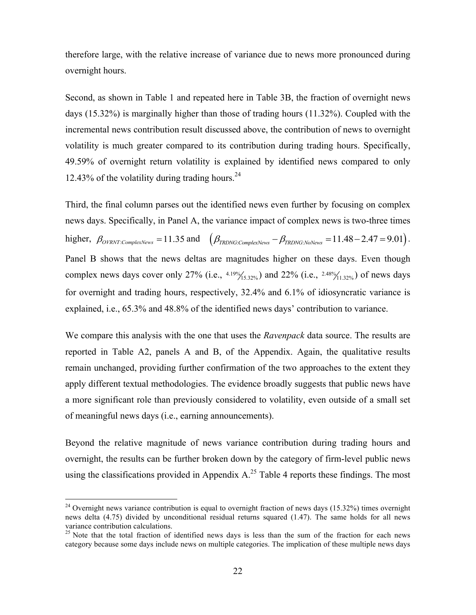therefore large, with the relative increase of variance due to news more pronounced during overnight hours.

Second, as shown in Table 1 and repeated here in Table 3B, the fraction of overnight news days (15.32%) is marginally higher than those of trading hours (11.32%). Coupled with the incremental news contribution result discussed above, the contribution of news to overnight volatility is much greater compared to its contribution during trading hours. Specifically, 49.59% of overnight return volatility is explained by identified news compared to only 12.43% of the volatility during trading hours. 24

Third, the final column parses out the identified news even further by focusing on complex news days. Specifically, in Panel A, the variance impact of complex news is two-three times higher,  $\beta_{\text{OVRNT:ComplexNews}} = 11.35$  and  $(\beta_{\text{TRDNG:ComplexNews}} - \beta_{\text{TRDNG: NoNews}} = 11.48 - 2.47 = 9.01)$ . Panel B shows that the news deltas are magnitudes higher on these days. Even though complex news days cover only 27% (i.e.,  $4.19\frac{\%}{15.32\%}$ ) and 22% (i.e.,  $2.48\frac{\%}{11.32\%}$ ) of news days for overnight and trading hours, respectively, 32.4% and 6.1% of idiosyncratic variance is explained, i.e., 65.3% and 48.8% of the identified news days' contribution to variance.

We compare this analysis with the one that uses the *Ravenpack* data source. The results are reported in Table A2, panels A and B, of the Appendix. Again, the qualitative results remain unchanged, providing further confirmation of the two approaches to the extent they apply different textual methodologies. The evidence broadly suggests that public news have a more significant role than previously considered to volatility, even outside of a small set of meaningful news days (i.e., earning announcements).

Beyond the relative magnitude of news variance contribution during trading hours and overnight, the results can be further broken down by the category of firm-level public news using the classifications provided in Appendix  $A^{25}$  Table 4 reports these findings. The most

 $24$  Overnight news variance contribution is equal to overnight fraction of news days (15.32%) times overnight news delta (4.75) divided by unconditional residual returns squared (1.47). The same holds for all news variance contribution calculations.

<sup>&</sup>lt;sup>25</sup> Note that the total fraction of identified news days is less than the sum of the fraction for each news category because some days include news on multiple categories. The implication of these multiple news days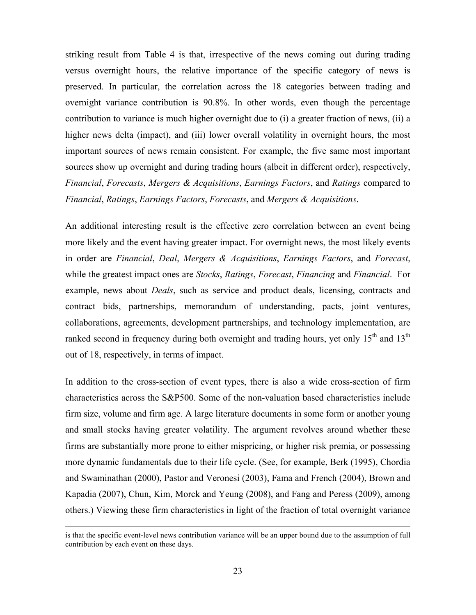striking result from Table 4 is that, irrespective of the news coming out during trading versus overnight hours, the relative importance of the specific category of news is preserved. In particular, the correlation across the 18 categories between trading and overnight variance contribution is 90.8%. In other words, even though the percentage contribution to variance is much higher overnight due to (i) a greater fraction of news, (ii) a higher news delta (impact), and (iii) lower overall volatility in overnight hours, the most important sources of news remain consistent. For example, the five same most important sources show up overnight and during trading hours (albeit in different order), respectively, *Financial*, *Forecasts*, *Mergers & Acquisitions*, *Earnings Factors*, and *Ratings* compared to *Financial*, *Ratings*, *Earnings Factors*, *Forecasts*, and *Mergers & Acquisitions*.

An additional interesting result is the effective zero correlation between an event being more likely and the event having greater impact. For overnight news, the most likely events in order are *Financial*, *Deal*, *Mergers & Acquisitions*, *Earnings Factors*, and *Forecast*, while the greatest impact ones are *Stocks*, *Ratings*, *Forecast*, *Financing* and *Financial*. For example, news about *Deals*, such as service and product deals, licensing, contracts and contract bids, partnerships, memorandum of understanding, pacts, joint ventures, collaborations, agreements, development partnerships, and technology implementation, are ranked second in frequency during both overnight and trading hours, yet only  $15<sup>th</sup>$  and  $13<sup>th</sup>$ out of 18, respectively, in terms of impact.

In addition to the cross-section of event types, there is also a wide cross-section of firm characteristics across the S&P500. Some of the non-valuation based characteristics include firm size, volume and firm age. A large literature documents in some form or another young and small stocks having greater volatility. The argument revolves around whether these firms are substantially more prone to either mispricing, or higher risk premia, or possessing more dynamic fundamentals due to their life cycle. (See, for example, Berk (1995), Chordia and Swaminathan (2000), Pastor and Veronesi (2003), Fama and French (2004), Brown and Kapadia (2007), Chun, Kim, Morck and Yeung (2008), and Fang and Peress (2009), among others.) Viewing these firm characteristics in light of the fraction of total overnight variance

is that the specific event-level news contribution variance will be an upper bound due to the assumption of full contribution by each event on these days.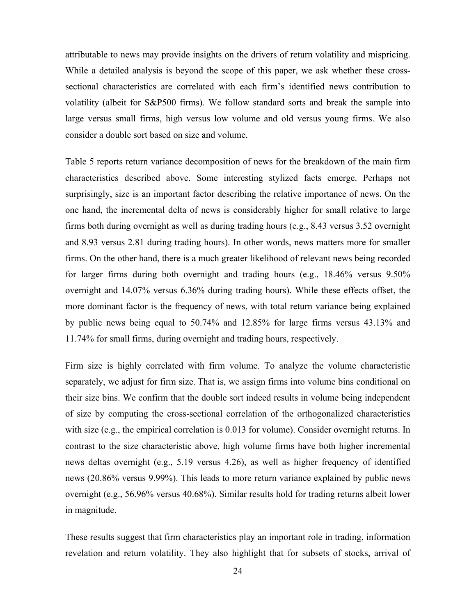attributable to news may provide insights on the drivers of return volatility and mispricing. While a detailed analysis is beyond the scope of this paper, we ask whether these crosssectional characteristics are correlated with each firm's identified news contribution to volatility (albeit for S&P500 firms). We follow standard sorts and break the sample into large versus small firms, high versus low volume and old versus young firms. We also consider a double sort based on size and volume.

Table 5 reports return variance decomposition of news for the breakdown of the main firm characteristics described above. Some interesting stylized facts emerge. Perhaps not surprisingly, size is an important factor describing the relative importance of news. On the one hand, the incremental delta of news is considerably higher for small relative to large firms both during overnight as well as during trading hours (e.g., 8.43 versus 3.52 overnight and 8.93 versus 2.81 during trading hours). In other words, news matters more for smaller firms. On the other hand, there is a much greater likelihood of relevant news being recorded for larger firms during both overnight and trading hours (e.g., 18.46% versus 9.50% overnight and 14.07% versus 6.36% during trading hours). While these effects offset, the more dominant factor is the frequency of news, with total return variance being explained by public news being equal to 50.74% and 12.85% for large firms versus 43.13% and 11.74% for small firms, during overnight and trading hours, respectively.

Firm size is highly correlated with firm volume. To analyze the volume characteristic separately, we adjust for firm size. That is, we assign firms into volume bins conditional on their size bins. We confirm that the double sort indeed results in volume being independent of size by computing the cross-sectional correlation of the orthogonalized characteristics with size (e.g., the empirical correlation is 0.013 for volume). Consider overnight returns. In contrast to the size characteristic above, high volume firms have both higher incremental news deltas overnight (e.g., 5.19 versus 4.26), as well as higher frequency of identified news (20.86% versus 9.99%). This leads to more return variance explained by public news overnight (e.g., 56.96% versus 40.68%). Similar results hold for trading returns albeit lower in magnitude.

These results suggest that firm characteristics play an important role in trading, information revelation and return volatility. They also highlight that for subsets of stocks, arrival of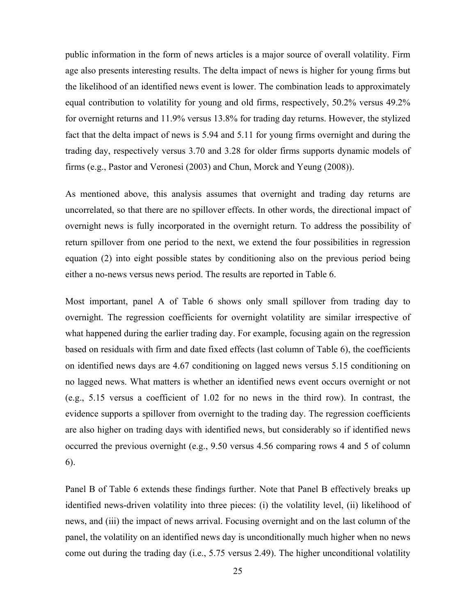public information in the form of news articles is a major source of overall volatility. Firm age also presents interesting results. The delta impact of news is higher for young firms but the likelihood of an identified news event is lower. The combination leads to approximately equal contribution to volatility for young and old firms, respectively, 50.2% versus 49.2% for overnight returns and 11.9% versus 13.8% for trading day returns. However, the stylized fact that the delta impact of news is 5.94 and 5.11 for young firms overnight and during the trading day, respectively versus 3.70 and 3.28 for older firms supports dynamic models of firms (e.g., Pastor and Veronesi (2003) and Chun, Morck and Yeung (2008)).

As mentioned above, this analysis assumes that overnight and trading day returns are uncorrelated, so that there are no spillover effects. In other words, the directional impact of overnight news is fully incorporated in the overnight return. To address the possibility of return spillover from one period to the next, we extend the four possibilities in regression equation (2) into eight possible states by conditioning also on the previous period being either a no-news versus news period. The results are reported in Table 6.

Most important, panel A of Table 6 shows only small spillover from trading day to overnight. The regression coefficients for overnight volatility are similar irrespective of what happened during the earlier trading day. For example, focusing again on the regression based on residuals with firm and date fixed effects (last column of Table 6), the coefficients on identified news days are 4.67 conditioning on lagged news versus 5.15 conditioning on no lagged news. What matters is whether an identified news event occurs overnight or not (e.g., 5.15 versus a coefficient of 1.02 for no news in the third row). In contrast, the evidence supports a spillover from overnight to the trading day. The regression coefficients are also higher on trading days with identified news, but considerably so if identified news occurred the previous overnight (e.g., 9.50 versus 4.56 comparing rows 4 and 5 of column 6).

Panel B of Table 6 extends these findings further. Note that Panel B effectively breaks up identified news-driven volatility into three pieces: (i) the volatility level, (ii) likelihood of news, and (iii) the impact of news arrival. Focusing overnight and on the last column of the panel, the volatility on an identified news day is unconditionally much higher when no news come out during the trading day (i.e., 5.75 versus 2.49). The higher unconditional volatility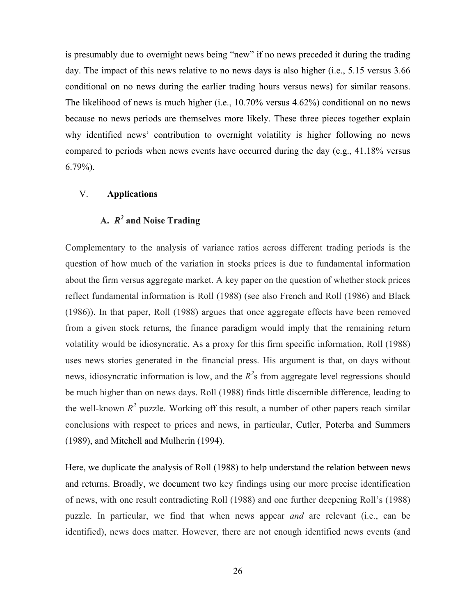is presumably due to overnight news being "new" if no news preceded it during the trading day. The impact of this news relative to no news days is also higher (i.e., 5.15 versus 3.66 conditional on no news during the earlier trading hours versus news) for similar reasons. The likelihood of news is much higher (i.e., 10.70% versus 4.62%) conditional on no news because no news periods are themselves more likely. These three pieces together explain why identified news' contribution to overnight volatility is higher following no news compared to periods when news events have occurred during the day (e.g., 41.18% versus 6.79%).

# V. **Applications**

# **A.** *R2* **and Noise Trading**

Complementary to the analysis of variance ratios across different trading periods is the question of how much of the variation in stocks prices is due to fundamental information about the firm versus aggregate market. A key paper on the question of whether stock prices reflect fundamental information is Roll (1988) (see also French and Roll (1986) and Black (1986)). In that paper, Roll (1988) argues that once aggregate effects have been removed from a given stock returns, the finance paradigm would imply that the remaining return volatility would be idiosyncratic. As a proxy for this firm specific information, Roll (1988) uses news stories generated in the financial press. His argument is that, on days without news, idiosyncratic information is low, and the  $R<sup>2</sup>$ s from aggregate level regressions should be much higher than on news days. Roll (1988) finds little discernible difference, leading to the well-known  $R^2$  puzzle. Working off this result, a number of other papers reach similar conclusions with respect to prices and news, in particular, Cutler, Poterba and Summers (1989), and Mitchell and Mulherin (1994).

Here, we duplicate the analysis of Roll (1988) to help understand the relation between news and returns. Broadly, we document two key findings using our more precise identification of news, with one result contradicting Roll (1988) and one further deepening Roll's (1988) puzzle. In particular, we find that when news appear *and* are relevant (i.e., can be identified), news does matter. However, there are not enough identified news events (and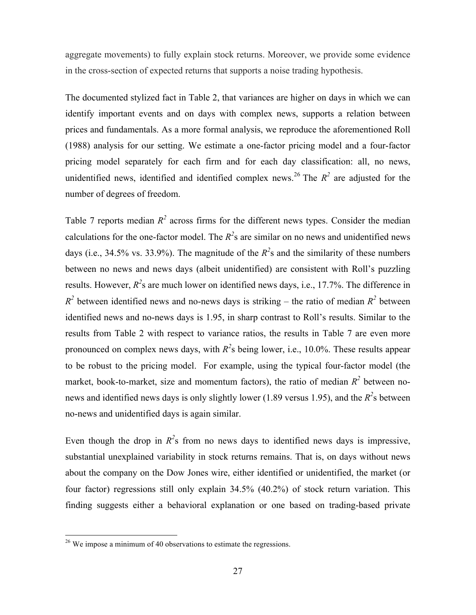aggregate movements) to fully explain stock returns. Moreover, we provide some evidence in the cross-section of expected returns that supports a noise trading hypothesis.

The documented stylized fact in Table 2, that variances are higher on days in which we can identify important events and on days with complex news, supports a relation between prices and fundamentals. As a more formal analysis, we reproduce the aforementioned Roll (1988) analysis for our setting. We estimate a one-factor pricing model and a four-factor pricing model separately for each firm and for each day classification: all, no news, unidentified news, identified and identified complex news.<sup>26</sup> The  $R^2$  are adjusted for the number of degrees of freedom.

Table 7 reports median  $R^2$  across firms for the different news types. Consider the median calculations for the one-factor model. The  $R^2$ s are similar on no news and unidentified news days (i.e., 34.5% vs. 33.9%). The magnitude of the  $R^2$ s and the similarity of these numbers between no news and news days (albeit unidentified) are consistent with Roll's puzzling results. However,  $R^2$ s are much lower on identified news days, i.e., 17.7%. The difference in  $R^2$  between identified news and no-news days is striking – the ratio of median  $R^2$  between identified news and no-news days is 1.95, in sharp contrast to Roll's results. Similar to the results from Table 2 with respect to variance ratios, the results in Table 7 are even more pronounced on complex news days, with  $R^2$ s being lower, i.e., 10.0%. These results appear to be robust to the pricing model. For example, using the typical four-factor model (the market, book-to-market, size and momentum factors), the ratio of median  $R^2$  between nonews and identified news days is only slightly lower (1.89 versus 1.95), and the  $R^2$ s between no-news and unidentified days is again similar.

Even though the drop in  $R^2$ s from no news days to identified news days is impressive, substantial unexplained variability in stock returns remains. That is, on days without news about the company on the Dow Jones wire, either identified or unidentified, the market (or four factor) regressions still only explain 34.5% (40.2%) of stock return variation. This finding suggests either a behavioral explanation or one based on trading-based private

<sup>&</sup>lt;sup>26</sup> We impose a minimum of 40 observations to estimate the regressions.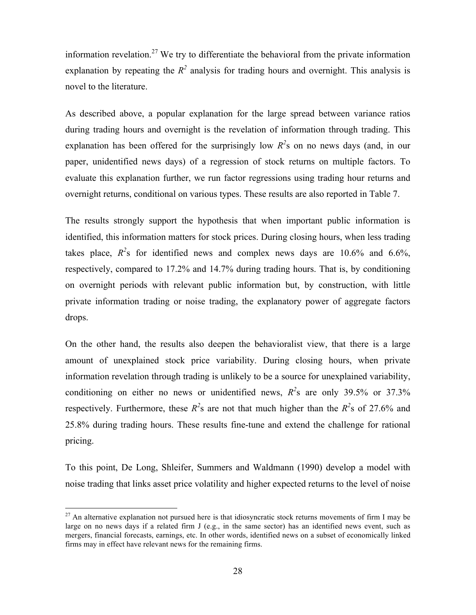information revelation.<sup>27</sup> We try to differentiate the behavioral from the private information explanation by repeating the  $R^2$  analysis for trading hours and overnight. This analysis is novel to the literature.

As described above, a popular explanation for the large spread between variance ratios during trading hours and overnight is the revelation of information through trading. This explanation has been offered for the surprisingly low  $R^2$ s on no news days (and, in our paper, unidentified news days) of a regression of stock returns on multiple factors. To evaluate this explanation further, we run factor regressions using trading hour returns and overnight returns, conditional on various types. These results are also reported in Table 7.

The results strongly support the hypothesis that when important public information is identified, this information matters for stock prices. During closing hours, when less trading takes place,  $R^2$ s for identified news and complex news days are 10.6% and 6.6%, respectively, compared to 17.2% and 14.7% during trading hours. That is, by conditioning on overnight periods with relevant public information but, by construction, with little private information trading or noise trading, the explanatory power of aggregate factors drops.

On the other hand, the results also deepen the behavioralist view, that there is a large amount of unexplained stock price variability. During closing hours, when private information revelation through trading is unlikely to be a source for unexplained variability, conditioning on either no news or unidentified news,  $R^2$ s are only 39.5% or 37.3% respectively. Furthermore, these  $R^2$ s are not that much higher than the  $R^2$ s of 27.6% and 25.8% during trading hours. These results fine-tune and extend the challenge for rational pricing.

To this point, De Long, Shleifer, Summers and Waldmann (1990) develop a model with noise trading that links asset price volatility and higher expected returns to the level of noise

 $27$  An alternative explanation not pursued here is that idiosyncratic stock returns movements of firm I may be large on no news days if a related firm J (e.g., in the same sector) has an identified news event, such as mergers, financial forecasts, earnings, etc. In other words, identified news on a subset of economically linked firms may in effect have relevant news for the remaining firms.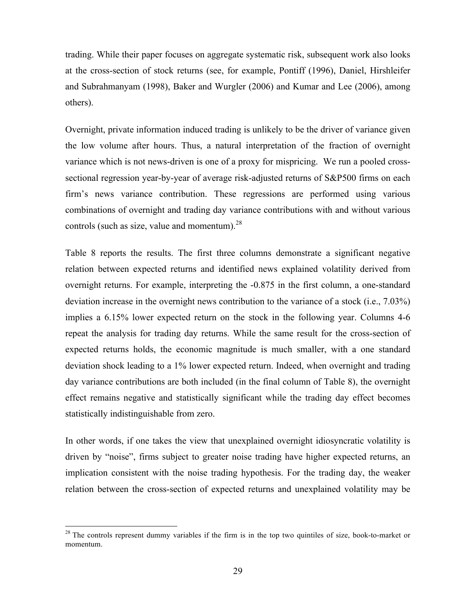trading. While their paper focuses on aggregate systematic risk, subsequent work also looks at the cross-section of stock returns (see, for example, Pontiff (1996), Daniel, Hirshleifer and Subrahmanyam (1998), Baker and Wurgler (2006) and Kumar and Lee (2006), among others).

Overnight, private information induced trading is unlikely to be the driver of variance given the low volume after hours. Thus, a natural interpretation of the fraction of overnight variance which is not news-driven is one of a proxy for mispricing. We run a pooled crosssectional regression year-by-year of average risk-adjusted returns of S&P500 firms on each firm's news variance contribution. These regressions are performed using various combinations of overnight and trading day variance contributions with and without various controls (such as size, value and momentum). $^{28}$ 

Table 8 reports the results. The first three columns demonstrate a significant negative relation between expected returns and identified news explained volatility derived from overnight returns. For example, interpreting the -0.875 in the first column, a one-standard deviation increase in the overnight news contribution to the variance of a stock (i.e., 7.03%) implies a 6.15% lower expected return on the stock in the following year. Columns 4-6 repeat the analysis for trading day returns. While the same result for the cross-section of expected returns holds, the economic magnitude is much smaller, with a one standard deviation shock leading to a 1% lower expected return. Indeed, when overnight and trading day variance contributions are both included (in the final column of Table 8), the overnight effect remains negative and statistically significant while the trading day effect becomes statistically indistinguishable from zero.

In other words, if one takes the view that unexplained overnight idiosyncratic volatility is driven by "noise", firms subject to greater noise trading have higher expected returns, an implication consistent with the noise trading hypothesis. For the trading day, the weaker relation between the cross-section of expected returns and unexplained volatility may be

<sup>&</sup>lt;sup>28</sup> The controls represent dummy variables if the firm is in the top two quintiles of size, book-to-market or momentum.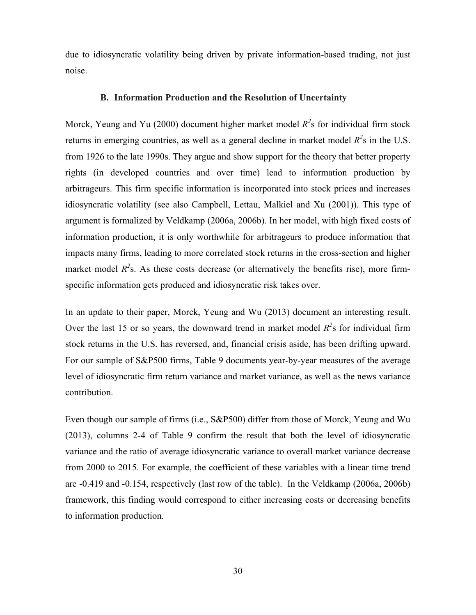due to idiosyncratic volatility being driven by private information-based trading, not just noise.

#### **B. Information Production and the Resolution of Uncertainty**

Morck, Yeung and Yu (2000) document higher market model  $R^2$ s for individual firm stock returns in emerging countries, as well as a general decline in market model  $R^2$ s in the U.S. from 1926 to the late 1990s. They argue and show support for the theory that better property rights (in developed countries and over time) lead to information production by arbitrageurs. This firm specific information is incorporated into stock prices and increases idiosyncratic volatility (see also Campbell, Lettau, Malkiel and Xu (2001)). This type of argument is formalized by Veldkamp (2006a, 2006b). In her model, with high fixed costs of information production, it is only worthwhile for arbitrageurs to produce information that impacts many firms, leading to more correlated stock returns in the cross-section and higher market model  $R^2$ s. As these costs decrease (or alternatively the benefits rise), more firmspecific information gets produced and idiosyncratic risk takes over.

In an update to their paper, Morck, Yeung and Wu (2013) document an interesting result. Over the last 15 or so years, the downward trend in market model  $R^2$ s for individual firm stock returns in the U.S. has reversed, and, financial crisis aside, has been drifting upward. For our sample of S&P500 firms, Table 9 documents year-by-year measures of the average level of idiosyncratic firm return variance and market variance, as well as the news variance contribution.

Even though our sample of firms (i.e., S&P500) differ from those of Morck, Yeung and Wu (2013), columns 2-4 of Table 9 confirm the result that both the level of idiosyncratic variance and the ratio of average idiosyncratic variance to overall market variance decrease from 2000 to 2015. For example, the coefficient of these variables with a linear time trend are -0.419 and -0.154, respectively (last row of the table). In the Veldkamp (2006a, 2006b) framework, this finding would correspond to either increasing costs or decreasing benefits to information production.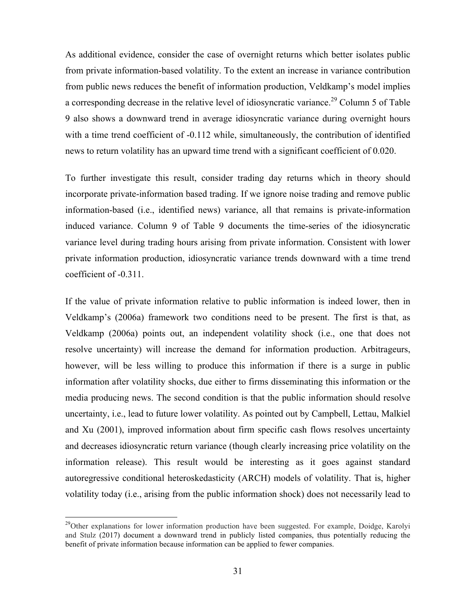As additional evidence, consider the case of overnight returns which better isolates public from private information-based volatility. To the extent an increase in variance contribution from public news reduces the benefit of information production, Veldkamp's model implies a corresponding decrease in the relative level of idiosyncratic variance.<sup>29</sup> Column 5 of Table 9 also shows a downward trend in average idiosyncratic variance during overnight hours with a time trend coefficient of -0.112 while, simultaneously, the contribution of identified news to return volatility has an upward time trend with a significant coefficient of 0.020.

To further investigate this result, consider trading day returns which in theory should incorporate private-information based trading. If we ignore noise trading and remove public information-based (i.e., identified news) variance, all that remains is private-information induced variance. Column 9 of Table 9 documents the time-series of the idiosyncratic variance level during trading hours arising from private information. Consistent with lower private information production, idiosyncratic variance trends downward with a time trend coefficient of -0.311.

If the value of private information relative to public information is indeed lower, then in Veldkamp's (2006a) framework two conditions need to be present. The first is that, as Veldkamp (2006a) points out, an independent volatility shock (i.e., one that does not resolve uncertainty) will increase the demand for information production. Arbitrageurs, however, will be less willing to produce this information if there is a surge in public information after volatility shocks, due either to firms disseminating this information or the media producing news. The second condition is that the public information should resolve uncertainty, i.e., lead to future lower volatility. As pointed out by Campbell, Lettau, Malkiel and Xu (2001), improved information about firm specific cash flows resolves uncertainty and decreases idiosyncratic return variance (though clearly increasing price volatility on the information release). This result would be interesting as it goes against standard autoregressive conditional heteroskedasticity (ARCH) models of volatility. That is, higher volatility today (i.e., arising from the public information shock) does not necessarily lead to

<sup>&</sup>lt;sup>29</sup>Other explanations for lower information production have been suggested. For example, Doidge, Karolyi and Stulz (2017) document a downward trend in publicly listed companies, thus potentially reducing the benefit of private information because information can be applied to fewer companies.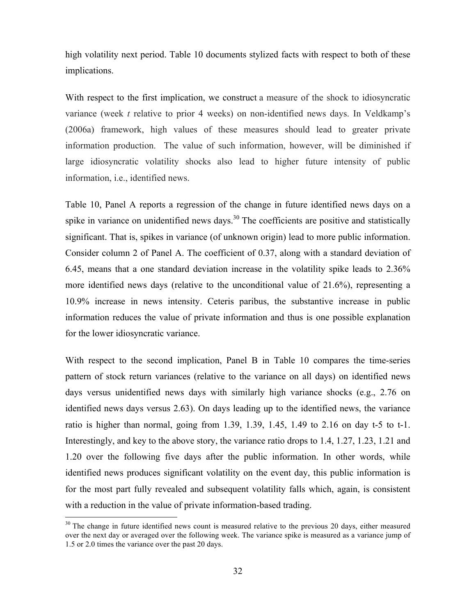high volatility next period. Table 10 documents stylized facts with respect to both of these implications.

With respect to the first implication, we construct a measure of the shock to idiosyncratic variance (week *t* relative to prior 4 weeks) on non-identified news days. In Veldkamp's (2006a) framework, high values of these measures should lead to greater private information production. The value of such information, however, will be diminished if large idiosyncratic volatility shocks also lead to higher future intensity of public information, i.e., identified news.

Table 10, Panel A reports a regression of the change in future identified news days on a spike in variance on unidentified news days.<sup>30</sup> The coefficients are positive and statistically significant. That is, spikes in variance (of unknown origin) lead to more public information. Consider column 2 of Panel A. The coefficient of 0.37, along with a standard deviation of 6.45, means that a one standard deviation increase in the volatility spike leads to 2.36% more identified news days (relative to the unconditional value of 21.6%), representing a 10.9% increase in news intensity. Ceteris paribus, the substantive increase in public information reduces the value of private information and thus is one possible explanation for the lower idiosyncratic variance.

With respect to the second implication, Panel B in Table 10 compares the time-series pattern of stock return variances (relative to the variance on all days) on identified news days versus unidentified news days with similarly high variance shocks (e.g., 2.76 on identified news days versus 2.63). On days leading up to the identified news, the variance ratio is higher than normal, going from 1.39, 1.39, 1.45, 1.49 to 2.16 on day  $t-5$  to  $t-1$ . Interestingly, and key to the above story, the variance ratio drops to 1.4, 1.27, 1.23, 1.21 and 1.20 over the following five days after the public information. In other words, while identified news produces significant volatility on the event day, this public information is for the most part fully revealed and subsequent volatility falls which, again, is consistent with a reduction in the value of private information-based trading.

<sup>&</sup>lt;sup>30</sup> The change in future identified news count is measured relative to the previous 20 days, either measured over the next day or averaged over the following week. The variance spike is measured as a variance jump of 1.5 or 2.0 times the variance over the past 20 days.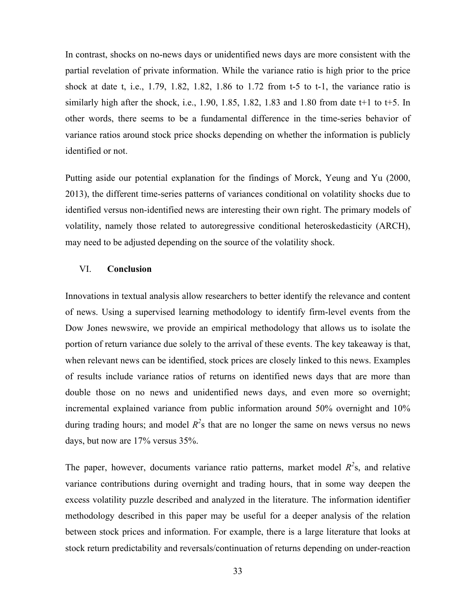In contrast, shocks on no-news days or unidentified news days are more consistent with the partial revelation of private information. While the variance ratio is high prior to the price shock at date t, i.e.,  $1.79$ ,  $1.82$ ,  $1.82$ ,  $1.86$  to  $1.72$  from t-5 to t-1, the variance ratio is similarly high after the shock, i.e., 1.90, 1.85, 1.82, 1.83 and 1.80 from date t+1 to t+5. In other words, there seems to be a fundamental difference in the time-series behavior of variance ratios around stock price shocks depending on whether the information is publicly identified or not.

Putting aside our potential explanation for the findings of Morck, Yeung and Yu (2000, 2013), the different time-series patterns of variances conditional on volatility shocks due to identified versus non-identified news are interesting their own right. The primary models of volatility, namely those related to autoregressive conditional heteroskedasticity (ARCH), may need to be adjusted depending on the source of the volatility shock.

# VI. **Conclusion**

Innovations in textual analysis allow researchers to better identify the relevance and content of news. Using a supervised learning methodology to identify firm-level events from the Dow Jones newswire, we provide an empirical methodology that allows us to isolate the portion of return variance due solely to the arrival of these events. The key takeaway is that, when relevant news can be identified, stock prices are closely linked to this news. Examples of results include variance ratios of returns on identified news days that are more than double those on no news and unidentified news days, and even more so overnight; incremental explained variance from public information around 50% overnight and 10% during trading hours; and model  $R^2$ s that are no longer the same on news versus no news days, but now are 17% versus 35%.

The paper, however, documents variance ratio patterns, market model  $R^2$ s, and relative variance contributions during overnight and trading hours, that in some way deepen the excess volatility puzzle described and analyzed in the literature. The information identifier methodology described in this paper may be useful for a deeper analysis of the relation between stock prices and information. For example, there is a large literature that looks at stock return predictability and reversals/continuation of returns depending on under-reaction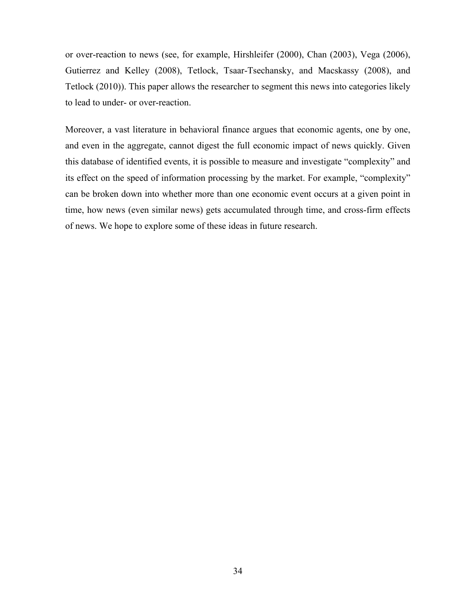or over-reaction to news (see, for example, Hirshleifer (2000), Chan (2003), Vega (2006), Gutierrez and Kelley (2008), Tetlock, Tsaar-Tsechansky, and Macskassy (2008), and Tetlock (2010)). This paper allows the researcher to segment this news into categories likely to lead to under- or over-reaction.

Moreover, a vast literature in behavioral finance argues that economic agents, one by one, and even in the aggregate, cannot digest the full economic impact of news quickly. Given this database of identified events, it is possible to measure and investigate "complexity" and its effect on the speed of information processing by the market. For example, "complexity" can be broken down into whether more than one economic event occurs at a given point in time, how news (even similar news) gets accumulated through time, and cross-firm effects of news. We hope to explore some of these ideas in future research.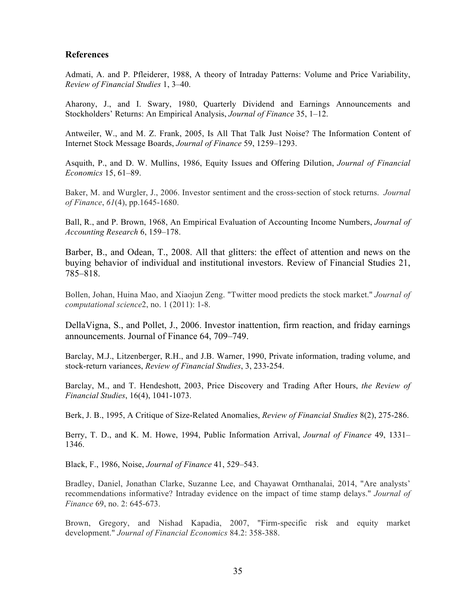#### **References**

Admati, A. and P. Pfleiderer, 1988, A theory of Intraday Patterns: Volume and Price Variability, *Review of Financial Studies* 1, 3–40.

Aharony, J., and I. Swary, 1980, Quarterly Dividend and Earnings Announcements and Stockholders' Returns: An Empirical Analysis, *Journal of Finance* 35, 1–12.

Antweiler, W., and M. Z. Frank, 2005, Is All That Talk Just Noise? The Information Content of Internet Stock Message Boards, *Journal of Finance* 59, 1259–1293.

Asquith, P., and D. W. Mullins, 1986, Equity Issues and Offering Dilution, *Journal of Financial Economics* 15, 61–89.

Baker, M. and Wurgler, J., 2006. Investor sentiment and the cross-section of stock returns. *Journal of Finance*, *61*(4), pp.1645-1680.

Ball, R., and P. Brown, 1968, An Empirical Evaluation of Accounting Income Numbers, *Journal of Accounting Research* 6, 159–178.

Barber, B., and Odean, T., 2008. All that glitters: the effect of attention and news on the buying behavior of individual and institutional investors. Review of Financial Studies 21, 785–818.

Bollen, Johan, Huina Mao, and Xiaojun Zeng. "Twitter mood predicts the stock market." *Journal of computational science*2, no. 1 (2011): 1-8.

DellaVigna, S., and Pollet, J., 2006. Investor inattention, firm reaction, and friday earnings announcements. Journal of Finance 64, 709–749.

Barclay, M.J., Litzenberger, R.H., and J.B. Warner, 1990, Private information, trading volume, and stock-return variances, *Review of Financial Studies*, 3, 233-254.

Barclay, M., and T. Hendeshott, 2003, Price Discovery and Trading After Hours, *the Review of Financial Studies*, 16(4), 1041-1073.

Berk, J. B., 1995, A Critique of Size-Related Anomalies, *Review of Financial Studies* 8(2), 275-286.

Berry, T. D., and K. M. Howe, 1994, Public Information Arrival, *Journal of Finance* 49, 1331– 1346.

Black, F., 1986, Noise, *Journal of Finance* 41, 529–543.

Bradley, Daniel, Jonathan Clarke, Suzanne Lee, and Chayawat Ornthanalai, 2014, "Are analysts' recommendations informative? Intraday evidence on the impact of time stamp delays." *Journal of Finance* 69, no. 2: 645-673.

Brown, Gregory, and Nishad Kapadia, 2007, "Firm-specific risk and equity market development." *Journal of Financial Economics* 84.2: 358-388.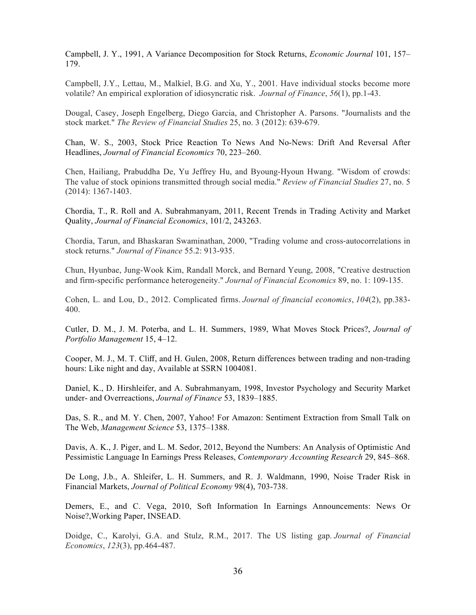Campbell, J. Y., 1991, A Variance Decomposition for Stock Returns, *Economic Journal* 101, 157– 179.

Campbell, J.Y., Lettau, M., Malkiel, B.G. and Xu, Y., 2001. Have individual stocks become more volatile? An empirical exploration of idiosyncratic risk. *Journal of Finance*, *56*(1), pp.1-43.

Dougal, Casey, Joseph Engelberg, Diego Garcia, and Christopher A. Parsons. "Journalists and the stock market." *The Review of Financial Studies* 25, no. 3 (2012): 639-679.

Chan, W. S., 2003, Stock Price Reaction To News And No-News: Drift And Reversal After Headlines, *Journal of Financial Economics* 70, 223–260.

Chen, Hailiang, Prabuddha De, Yu Jeffrey Hu, and Byoung-Hyoun Hwang. "Wisdom of crowds: The value of stock opinions transmitted through social media." *Review of Financial Studies* 27, no. 5 (2014): 1367-1403.

Chordia, T., R. Roll and A. Subrahmanyam, 2011, Recent Trends in Trading Activity and Market Quality, *Journal of Financial Economics*, 101/2, 243263.

Chordia, Tarun, and Bhaskaran Swaminathan, 2000, "Trading volume and cross-autocorrelations in stock returns." *Journal of Finance* 55.2: 913-935.

Chun, Hyunbae, Jung-Wook Kim, Randall Morck, and Bernard Yeung, 2008, "Creative destruction and firm-specific performance heterogeneity." *Journal of Financial Economics* 89, no. 1: 109-135.

Cohen, L. and Lou, D., 2012. Complicated firms. *Journal of financial economics*, *104*(2), pp.383- 400.

Cutler, D. M., J. M. Poterba, and L. H. Summers, 1989, What Moves Stock Prices?, *Journal of Portfolio Management* 15, 4–12.

Cooper, M. J., M. T. Cliff, and H. Gulen, 2008, Return differences between trading and non-trading hours: Like night and day, Available at SSRN 1004081.

Daniel, K., D. Hirshleifer, and A. Subrahmanyam, 1998, Investor Psychology and Security Market under- and Overreactions, *Journal of Finance* 53, 1839–1885.

Das, S. R., and M. Y. Chen, 2007, Yahoo! For Amazon: Sentiment Extraction from Small Talk on The Web, *Management Science* 53, 1375–1388.

Davis, A. K., J. Piger, and L. M. Sedor, 2012, Beyond the Numbers: An Analysis of Optimistic And Pessimistic Language In Earnings Press Releases, *Contemporary Accounting Research* 29, 845–868.

De Long, J.b., A. Shleifer, L. H. Summers, and R. J. Waldmann, 1990, Noise Trader Risk in Financial Markets, *Journal of Political Economy* 98(4), 703-738.

Demers, E., and C. Vega, 2010, Soft Information In Earnings Announcements: News Or Noise?,Working Paper, INSEAD.

Doidge, C., Karolyi, G.A. and Stulz, R.M., 2017. The US listing gap. *Journal of Financial Economics*, *123*(3), pp.464-487.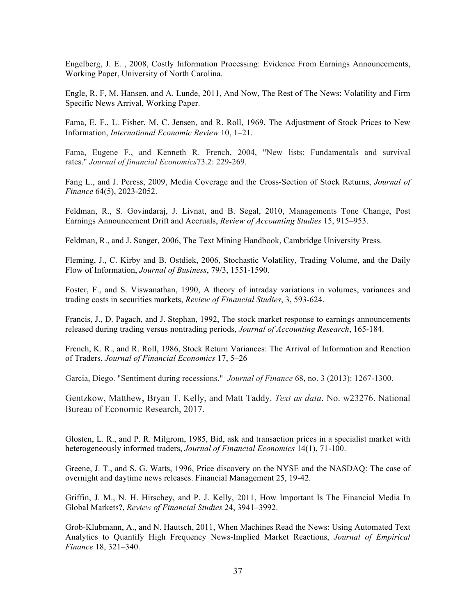Engelberg, J. E. , 2008, Costly Information Processing: Evidence From Earnings Announcements, Working Paper, University of North Carolina.

Engle, R. F, M. Hansen, and A. Lunde, 2011, And Now, The Rest of The News: Volatility and Firm Specific News Arrival, Working Paper.

Fama, E. F., L. Fisher, M. C. Jensen, and R. Roll, 1969, The Adjustment of Stock Prices to New Information, *International Economic Review* 10, 1–21.

Fama, Eugene F., and Kenneth R. French, 2004, "New lists: Fundamentals and survival rates." *Journal of financial Economics*73.2: 229-269.

Fang L., and J. Peress, 2009, Media Coverage and the Cross-Section of Stock Returns, *Journal of Finance* 64(5), 2023-2052.

Feldman, R., S. Govindaraj, J. Livnat, and B. Segal, 2010, Managements Tone Change, Post Earnings Announcement Drift and Accruals, *Review of Accounting Studies* 15, 915–953.

Feldman, R., and J. Sanger, 2006, The Text Mining Handbook, Cambridge University Press.

Fleming, J., C. Kirby and B. Ostdiek, 2006, Stochastic Volatility, Trading Volume, and the Daily Flow of Information, *Journal of Business*, 79/3, 1551-1590.

Foster, F., and S. Viswanathan, 1990, A theory of intraday variations in volumes, variances and trading costs in securities markets, *Review of Financial Studies*, 3, 593-624.

Francis, J., D. Pagach, and J. Stephan, 1992, The stock market response to earnings announcements released during trading versus nontrading periods, *Journal of Accounting Research*, 165-184.

French, K. R., and R. Roll, 1986, Stock Return Variances: The Arrival of Information and Reaction of Traders, *Journal of Financial Economics* 17, 5–26

Garcia, Diego. "Sentiment during recessions." *Journal of Finance* 68, no. 3 (2013): 1267-1300.

Gentzkow, Matthew, Bryan T. Kelly, and Matt Taddy. *Text as data*. No. w23276. National Bureau of Economic Research, 2017.

Glosten, L. R., and P. R. Milgrom, 1985, Bid, ask and transaction prices in a specialist market with heterogeneously informed traders, *Journal of Financial Economics* 14(1), 71-100.

Greene, J. T., and S. G. Watts, 1996, Price discovery on the NYSE and the NASDAQ: The case of overnight and daytime news releases. Financial Management 25, 19-42.

Griffin, J. M., N. H. Hirschey, and P. J. Kelly, 2011, How Important Is The Financial Media In Global Markets?, *Review of Financial Studies* 24, 3941–3992.

Grob-Klubmann, A., and N. Hautsch, 2011, When Machines Read the News: Using Automated Text Analytics to Quantify High Frequency News-Implied Market Reactions, *Journal of Empirical Finance* 18, 321–340.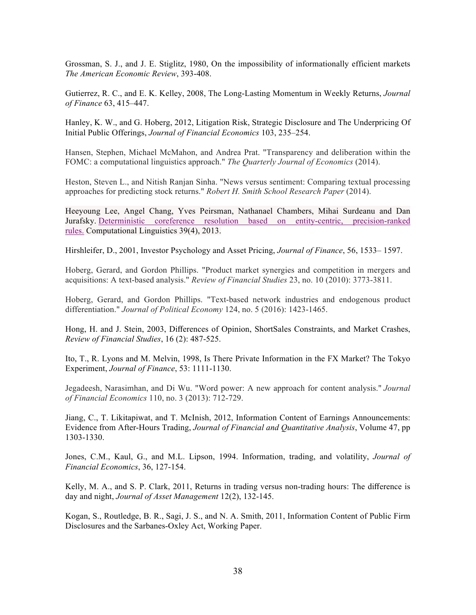Grossman, S. J., and J. E. Stiglitz, 1980, On the impossibility of informationally efficient markets *The American Economic Review*, 393-408.

Gutierrez, R. C., and E. K. Kelley, 2008, The Long-Lasting Momentum in Weekly Returns, *Journal of Finance* 63, 415–447.

Hanley, K. W., and G. Hoberg, 2012, Litigation Risk, Strategic Disclosure and The Underpricing Of Initial Public Offerings, *Journal of Financial Economics* 103, 235–254.

Hansen, Stephen, Michael McMahon, and Andrea Prat. "Transparency and deliberation within the FOMC: a computational linguistics approach." *The Quarterly Journal of Economics* (2014).

Heston, Steven L., and Nitish Ranjan Sinha. "News versus sentiment: Comparing textual processing approaches for predicting stock returns." *Robert H. Smith School Research Paper* (2014).

Heeyoung Lee, Angel Chang, Yves Peirsman, Nathanael Chambers, Mihai Surdeanu and Dan Jurafsky. Deterministic coreference resolution based on entity-centric, precision-ranked rules. Computational Linguistics 39(4), 2013.

Hirshleifer, D., 2001, Investor Psychology and Asset Pricing, *Journal of Finance*, 56, 1533– 1597.

Hoberg, Gerard, and Gordon Phillips. "Product market synergies and competition in mergers and acquisitions: A text-based analysis." *Review of Financial Studies* 23, no. 10 (2010): 3773-3811.

Hoberg, Gerard, and Gordon Phillips. "Text-based network industries and endogenous product differentiation." *Journal of Political Economy* 124, no. 5 (2016): 1423-1465.

Hong, H. and J. Stein, 2003, Differences of Opinion, ShortSales Constraints, and Market Crashes, *Review of Financial Studies*, 16 (2): 487-525.

Ito, T., R. Lyons and M. Melvin, 1998, Is There Private Information in the FX Market? The Tokyo Experiment, *Journal of Finance*, 53: 1111-1130.

Jegadeesh, Narasimhan, and Di Wu. "Word power: A new approach for content analysis." *Journal of Financial Economics* 110, no. 3 (2013): 712-729.

Jiang, C., T. Likitapiwat, and T. McInish, 2012, Information Content of Earnings Announcements: Evidence from After-Hours Trading, *Journal of Financial and Quantitative Analysis*, Volume 47, pp 1303-1330.

Jones, C.M., Kaul, G., and M.L. Lipson, 1994. Information, trading, and volatility, *Journal of Financial Economics*, 36, 127-154.

Kelly, M. A., and S. P. Clark, 2011, Returns in trading versus non-trading hours: The difference is day and night, *Journal of Asset Management* 12(2), 132-145.

Kogan, S., Routledge, B. R., Sagi, J. S., and N. A. Smith, 2011, Information Content of Public Firm Disclosures and the Sarbanes-Oxley Act, Working Paper.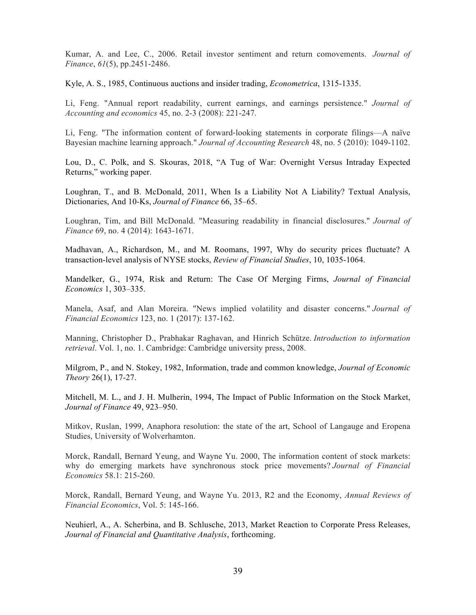Kumar, A. and Lee, C., 2006. Retail investor sentiment and return comovements. *Journal of Finance*, *61*(5), pp.2451-2486.

Kyle, A. S., 1985, Continuous auctions and insider trading, *Econometrica*, 1315-1335.

Li, Feng. "Annual report readability, current earnings, and earnings persistence." *Journal of Accounting and economics* 45, no. 2-3 (2008): 221-247.

Li, Feng. "The information content of forward-looking statements in corporate filings—A naïve Bayesian machine learning approach." *Journal of Accounting Research* 48, no. 5 (2010): 1049-1102.

Lou, D., C. Polk, and S. Skouras, 2018, "A Tug of War: Overnight Versus Intraday Expected Returns," working paper.

Loughran, T., and B. McDonald, 2011, When Is a Liability Not A Liability? Textual Analysis, Dictionaries, And 10-Ks, *Journal of Finance* 66, 35–65.

Loughran, Tim, and Bill McDonald. "Measuring readability in financial disclosures." *Journal of Finance* 69, no. 4 (2014): 1643-1671.

Madhavan, A., Richardson, M., and M. Roomans, 1997, Why do security prices fluctuate? A transaction-level analysis of NYSE stocks, *Review of Financial Studies*, 10, 1035-1064.

Mandelker, G., 1974, Risk and Return: The Case Of Merging Firms, *Journal of Financial Economics* 1, 303–335.

Manela, Asaf, and Alan Moreira. "News implied volatility and disaster concerns." *Journal of Financial Economics* 123, no. 1 (2017): 137-162.

Manning, Christopher D., Prabhakar Raghavan, and Hinrich Schütze. *Introduction to information retrieval*. Vol. 1, no. 1. Cambridge: Cambridge university press, 2008.

Milgrom, P., and N. Stokey, 1982, Information, trade and common knowledge, *Journal of Economic Theory* 26(1), 17-27.

Mitchell, M. L., and J. H. Mulherin, 1994, The Impact of Public Information on the Stock Market, *Journal of Finance* 49, 923–950.

Mitkov, Ruslan, 1999, Anaphora resolution: the state of the art, School of Langauge and Eropena Studies, University of Wolverhamton.

Morck, Randall, Bernard Yeung, and Wayne Yu. 2000, The information content of stock markets: why do emerging markets have synchronous stock price movements? *Journal of Financial Economics* 58.1: 215-260.

Morck, Randall, Bernard Yeung, and Wayne Yu. 2013, R2 and the Economy, *Annual Reviews of Financial Economics*, Vol. 5: 145-166.

Neuhierl, A., A. Scherbina, and B. Schlusche, 2013, Market Reaction to Corporate Press Releases, *Journal of Financial and Quantitative Analysis*, forthcoming.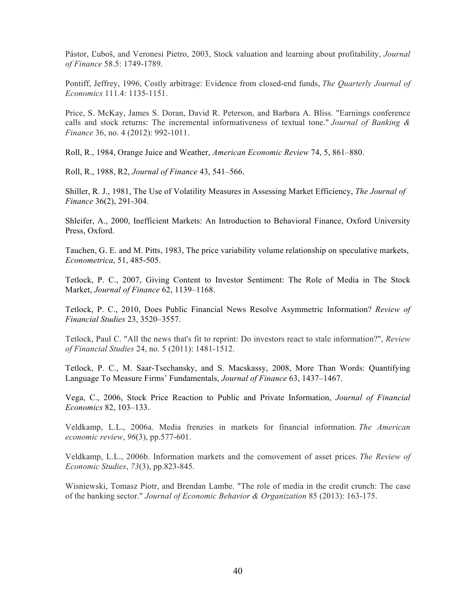Pástor, Ľuboš, and Veronesi Pietro, 2003, Stock valuation and learning about profitability, *Journal of Finance* 58.5: 1749-1789.

Pontiff, Jeffrey, 1996, Costly arbitrage: Evidence from closed-end funds, *The Quarterly Journal of Economics* 111.4: 1135-1151.

Price, S. McKay, James S. Doran, David R. Peterson, and Barbara A. Bliss. "Earnings conference calls and stock returns: The incremental informativeness of textual tone." *Journal of Banking & Finance* 36, no. 4 (2012): 992-1011.

Roll, R., 1984, Orange Juice and Weather, *American Economic Review* 74, 5, 861–880.

Roll, R., 1988, R2, *Journal of Finance* 43, 541–566.

Shiller, R. J., 1981, The Use of Volatility Measures in Assessing Market Efficiency, *The Journal of Finance* 36(2), 291-304.

Shleifer, A., 2000, Inefficient Markets: An Introduction to Behavioral Finance, Oxford University Press, Oxford.

Tauchen, G. E. and M. Pitts, 1983, The price variability volume relationship on speculative markets, *Econometrica*, 51, 485-505.

Tetlock, P. C., 2007, Giving Content to Investor Sentiment: The Role of Media in The Stock Market, *Journal of Finance* 62, 1139–1168.

Tetlock, P. C., 2010, Does Public Financial News Resolve Asymmetric Information? *Review of Financial Studies* 23, 3520–3557.

Tetlock, Paul C. "All the news that's fit to reprint: Do investors react to stale information?", *Review of Financial Studies* 24, no. 5 (2011): 1481-1512.

Tetlock, P. C., M. Saar-Tsechansky, and S. Macskassy, 2008, More Than Words: Quantifying Language To Measure Firms' Fundamentals, *Journal of Finance* 63, 1437–1467.

Vega, C., 2006, Stock Price Reaction to Public and Private Information, *Journal of Financial Economics* 82, 103–133.

Veldkamp, L.L., 2006a. Media frenzies in markets for financial information. *The American economic review*, *96*(3), pp.577-601.

Veldkamp, L.L., 2006b. Information markets and the comovement of asset prices. *The Review of Economic Studies*, *73*(3), pp.823-845.

Wisniewski, Tomasz Piotr, and Brendan Lambe. "The role of media in the credit crunch: The case of the banking sector." *Journal of Economic Behavior & Organization* 85 (2013): 163-175.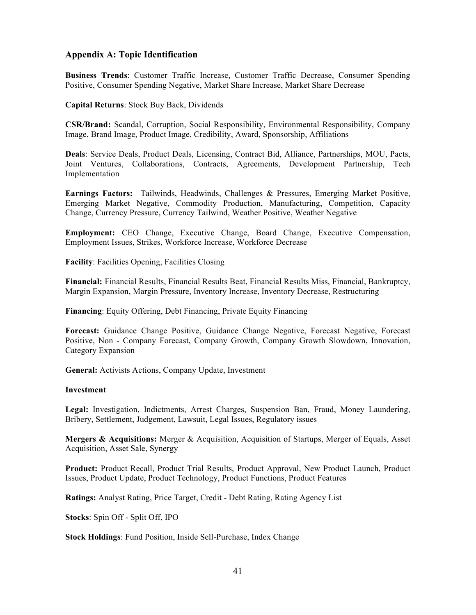# **Appendix A: Topic Identification**

**Business Trends**: Customer Traffic Increase, Customer Traffic Decrease, Consumer Spending Positive, Consumer Spending Negative, Market Share Increase, Market Share Decrease

**Capital Returns**: Stock Buy Back, Dividends

**CSR/Brand:** Scandal, Corruption, Social Responsibility, Environmental Responsibility, Company Image, Brand Image, Product Image, Credibility, Award, Sponsorship, Affiliations

**Deals**: Service Deals, Product Deals, Licensing, Contract Bid, Alliance, Partnerships, MOU, Pacts, Joint Ventures, Collaborations, Contracts, Agreements, Development Partnership, Tech Implementation

**Earnings Factors:** Tailwinds, Headwinds, Challenges & Pressures, Emerging Market Positive, Emerging Market Negative, Commodity Production, Manufacturing, Competition, Capacity Change, Currency Pressure, Currency Tailwind, Weather Positive, Weather Negative

**Employment:** CEO Change, Executive Change, Board Change, Executive Compensation, Employment Issues, Strikes, Workforce Increase, Workforce Decrease

**Facility**: Facilities Opening, Facilities Closing

**Financial:** Financial Results, Financial Results Beat, Financial Results Miss, Financial, Bankruptcy, Margin Expansion, Margin Pressure, Inventory Increase, Inventory Decrease, Restructuring

**Financing**: Equity Offering, Debt Financing, Private Equity Financing

**Forecast:** Guidance Change Positive, Guidance Change Negative, Forecast Negative, Forecast Positive, Non - Company Forecast, Company Growth, Company Growth Slowdown, Innovation, Category Expansion

**General:** Activists Actions, Company Update, Investment

#### **Investment**

**Legal:** Investigation, Indictments, Arrest Charges, Suspension Ban, Fraud, Money Laundering, Bribery, Settlement, Judgement, Lawsuit, Legal Issues, Regulatory issues

**Mergers & Acquisitions:** Merger & Acquisition, Acquisition of Startups, Merger of Equals, Asset Acquisition, Asset Sale, Synergy

**Product:** Product Recall, Product Trial Results, Product Approval, New Product Launch, Product Issues, Product Update, Product Technology, Product Functions, Product Features

**Ratings:** Analyst Rating, Price Target, Credit - Debt Rating, Rating Agency List

**Stocks**: Spin Off - Split Off, IPO

**Stock Holdings**: Fund Position, Inside Sell-Purchase, Index Change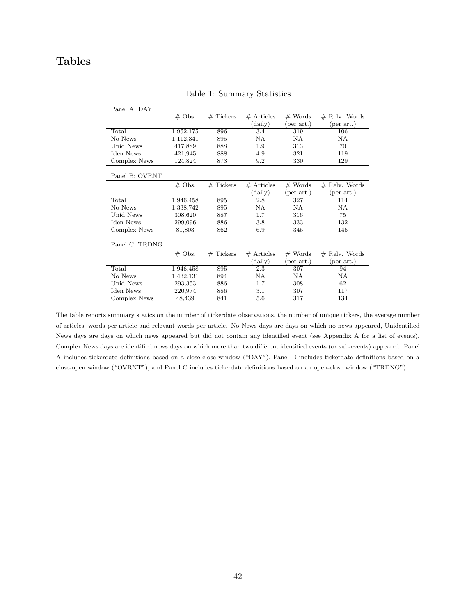# Tables

| Panel A: DAY     |           |             |              |                     |                                  |
|------------------|-----------|-------------|--------------|---------------------|----------------------------------|
|                  | $\#$ Obs. | $#$ Tickers | $#$ Articles | $#$ Words           | $#$ Relv. Words                  |
|                  |           |             | (daily)      | $(\text{per art.})$ | $(\text{per art.})$              |
| Total            | 1,952,175 | 896         | 3.4          | 319                 | 106                              |
| No News          | 1,112,341 | 895         | NA           | NΑ                  | NA                               |
| Unid News        | 417,889   | 888         | 1.9          | 313                 | 70                               |
| <b>Iden News</b> | 421,945   | 888         | 4.9          | 321                 | 119                              |
| Complex News     | 124,824   | 873         | 9.2          | 330                 | 129                              |
| Panel B: OVRNT   |           |             |              |                     |                                  |
|                  | $\#$ Obs. | $#$ Tickers | $#$ Articles | # Words             | $\overline{\text{#}$ Relv. Words |
|                  |           |             | (daily)      | $(\text{per art.})$ | $(\text{per art.})$              |
| Total            | 1,946,458 | 895         | 2.8          | 327                 | 114                              |
| No News          | 1,338,742 | 895         | NΑ           | NΑ                  | NA                               |
| Unid News        | 308,620   | 887         | 1.7          | 316                 | 75                               |
| <b>Iden News</b> | 299,096   | 886         | 3.8          | 333                 | 132                              |
| Complex News     | 81,803    | 862         | 6.9          | 345                 | 146                              |
| Panel C: TRDNG   |           |             |              |                     |                                  |
|                  | $\#$ Obs. | $#$ Tickers | $#$ Articles | # Words             | $#$ Rely. Words                  |
|                  |           |             | (daily)      | $(\text{per art.})$ | $(\text{per art.})$              |
| Total            | 1,946,458 | 895         | 2.3          | 307                 | 94                               |
| No News          | 1,432,131 | 894         | NΑ           | NΑ                  | NA                               |
| Unid News        | 293,353   | 886         | 1.7          | 308                 | 62                               |
| <b>Iden News</b> | 220,974   | 886         | 3.1          | 307                 | 117                              |
| Complex News     | 48,439    | 841         | 5.6          | 317                 | 134                              |

#### Table 1: Summary Statistics

The table reports summary statics on the number of tickerdate observations, the number of unique tickers, the average number of articles, words per article and relevant words per article. No News days are days on which no news appeared, Unidentified News days are days on which news appeared but did not contain any identified event (see Appendix A for a list of events), Complex News days are identified news days on which more than two different identified events (or sub-events) appeared. Panel A includes tickerdate definitions based on a close-close window ("DAY"), Panel B includes tickerdate definitions based on a close-open window ("OVRNT"), and Panel C includes tickerdate definitions based on an open-close window ("TRDNG").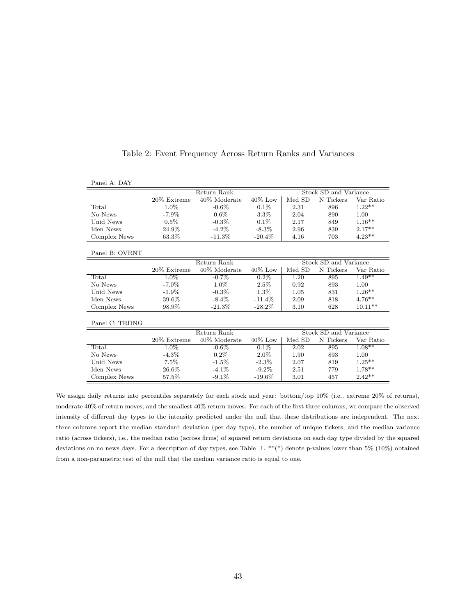| Panel A: DAY |              |               |            |        |                       |           |
|--------------|--------------|---------------|------------|--------|-----------------------|-----------|
|              |              | Return Rank   |            |        | Stock SD and Variance |           |
|              | 20\% Extreme | 40\% Moderate | $40\%$ Low | Med SD | N Tickers             | Var Ratio |
| Total        | $1.0\%$      | $-0.6\%$      | $0.1\%$    | 2.31   | 896                   | $1.22**$  |
| No News      | $-7.9\%$     | $0.6\%$       | 3.3%       | 2.04   | 890                   | 1.00      |
| Unid News    | $0.5\%$      | $-0.3\%$      | $0.1\%$    | 2.17   | 849                   | $1.16***$ |

Iden News 24.9% -4.2% -8.3% 2.96 839 2.17\*\* Complex News 63.3% -11.3% -20.4% 4.16 703 4.23\*\*

 $\text{Total}$  1.0% -0.7% 0.2% 1.20 895 1.49\*\* No News -7.0% 1.0% 2.5%  $\vert$  0.92 893 1.00 Unid News -1.9% -0.3% 1.3% | 1.05 831 1.26\*\* Iden News 39.6% -8.4% -11.4% | 2.09 818 4.76\*\* Complex News 98.9% -21.3% -28.2% 3.10 628 10.11<sup>\*\*</sup>

Return Rank Stock SD and Variance

 $\frac{20\% \text{ Extreme}}{1.0\%} \quad \frac{40\% \text{ Modern to}}{40\%} \quad \frac{40\% \text{ Low}}{0.2\%} \quad \frac{\text{Med SD}}{1.20} \quad \frac{\text{N} \text{ Tickers}}{895} \quad \frac{\text{Var Ratio}}{1.49^{**}}$ 

#### Table 2: Event Frequency Across Return Ranks and Variances

|--|

Panel B: OVRNT

|              |             | Return Rank   |            |        | Stock SD and Variance |           |
|--------------|-------------|---------------|------------|--------|-----------------------|-----------|
|              | 20% Extreme | 40\% Moderate | $40\%$ Low | Med SD | N Tickers             | Var Ratio |
| Total        | $1.0\%$     | $-0.6\%$      | $0.1\%$    | 2.02   | 895                   | $1.08**$  |
| No News      | $-4.3\%$    | $0.2\%$       | $2.0\%$    | 1.90   | 893                   | 1.00      |
| Unid News    | $7.5\%$     | $-1.5\%$      | $-2.3\%$   | 2.07   | 819                   | $1.25***$ |
| Iden News    | 26.6%       | $-4.1\%$      | $-9.2\%$   | 2.51   | 779                   | $1.78**$  |
| Complex News | 57.5%       | $-9.1\%$      | $-19.6\%$  | 3.01   | 457                   | $2.42**$  |

We assign daily returns into percentiles separately for each stock and year: bottom/top 10% (i.e., extreme 20% of returns), moderate 40% of return moves, and the smallest 40% return moves. For each of the first three columns, we compare the observed intensity of different day types to the intensity predicted under the null that these distributions are independent. The next three columns report the median standard deviation (per day type), the number of unique tickers, and the median variance ratio (across tickers), i.e., the median ratio (across firms) of squared return deviations on each day type divided by the squared deviations on no news days. For a description of day types, see Table 1. \*\*(\*) denote p-values lower than 5% (10%) obtained from a non-parametric test of the null that the median variance ratio is equal to one.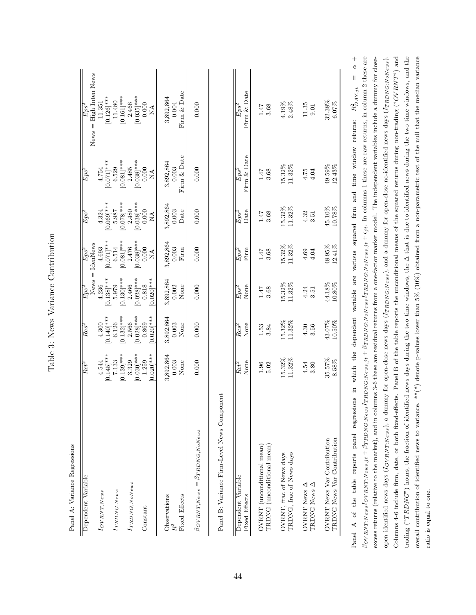| Panel A: Variance Regressions                                                                                                                                                                                                                                                                                                                                                                                                                                                                                                                                                                         |                                                   |                                         |                                         |                                                   |                              |                                 |                                                |
|-------------------------------------------------------------------------------------------------------------------------------------------------------------------------------------------------------------------------------------------------------------------------------------------------------------------------------------------------------------------------------------------------------------------------------------------------------------------------------------------------------------------------------------------------------------------------------------------------------|---------------------------------------------------|-----------------------------------------|-----------------------------------------|---------------------------------------------------|------------------------------|---------------------------------|------------------------------------------------|
| Dependent Variable                                                                                                                                                                                                                                                                                                                                                                                                                                                                                                                                                                                    | $Ret^2$                                           | Res <sup>2</sup>                        | News<br>$Eps^2$                         | IdenNews<br>$Eps^2$<br>$\left  {}\right $         | $Eps^2$                      | $Eps^2$                         | High Inten News<br>Eps'<br>$\mid \mid$<br>News |
| $I_{OVRNT, News}$                                                                                                                                                                                                                                                                                                                                                                                                                                                                                                                                                                                     | $0.145$ <sup>***</sup><br>4.544                   | $[0.140]$ ***<br>4.300                  | $[0.138]$ ***<br>4.236                  | $[0.071]$ ***<br>4.693                            | $[0.069]$ ***<br>4.324       | $0.071$ <sup>***</sup><br>4.754 | $[0.126]***$<br>is<br>11.35                    |
| $I_{TRDNG, News}$                                                                                                                                                                                                                                                                                                                                                                                                                                                                                                                                                                                     | $[0.139]$ ***<br>7.133                            | $[0.132]$ ***<br>6.126                  | $[0.130]$ ***<br>5.979                  | $[0.081]$ ***<br>6.514                            | $[0.078]$ ***<br>5.987       | $[0.081]$ ***<br>6.529          | $[0.161]$ ***<br>11.480                        |
| $I_{TRDNG, Nowews}$                                                                                                                                                                                                                                                                                                                                                                                                                                                                                                                                                                                   | 3.329                                             | 2.566                                   | 2.466                                   | 2.476                                             | 2.480                        | 2.485                           | 2.466                                          |
| $constant$                                                                                                                                                                                                                                                                                                                                                                                                                                                                                                                                                                                            | $[0.030]$ ***<br>$[0.020]$ ***<br>1.259           | $[0.028]$ ***<br>$[0.020]$ ***<br>0.869 | $[0.028]$ ***<br>$[0.020]$ ***<br>0.818 | $[0.038]$ ***<br>0.000<br>$_{\rm NA}$             | $[0.038]$ ***<br>0.000<br>ХÁ | $[0.038]$ ***<br>0.000<br>ÁN    | $[0.035]$ ***<br>0.000<br>ÁN                   |
| Observations                                                                                                                                                                                                                                                                                                                                                                                                                                                                                                                                                                                          | 3,892,864                                         | 3,892,864                               | 3,892,864                               | 3,892,864                                         | 3,892,864                    | 3,892,864                       | 3,892,864                                      |
| Fixed Effects<br>$\mathbb{R}^2$                                                                                                                                                                                                                                                                                                                                                                                                                                                                                                                                                                       | None<br>0.003                                     | 0.003<br>None                           | 0.002<br>None                           | 0.003<br>$\operatorname{Firm}$                    | 0.003<br>Date                | Firm & Date<br>0.003            | Firm & Date<br>0.004                           |
| $\label{eq:convex} \beta_{OVRNT,News} = \beta_{TRDNG, Nowews}$                                                                                                                                                                                                                                                                                                                                                                                                                                                                                                                                        | 0.000                                             | 0.000                                   | 0.000                                   | 0.000                                             | 0.000                        | 0.000                           | 0.000                                          |
| Panel B: Variance Firm-Level News Component<br>Dependent Variable                                                                                                                                                                                                                                                                                                                                                                                                                                                                                                                                     | Ret <sup>2</sup>                                  | Res <sup>2</sup>                        | $Eps^2$                                 | $Eps^2$                                           | $Eps^2$                      | $Eps^2$                         | $Eps^2$                                        |
| Fixed Effects                                                                                                                                                                                                                                                                                                                                                                                                                                                                                                                                                                                         | None                                              | None                                    | None                                    | Firm                                              | Date                         | Firm & Date                     | Firm & Date                                    |
| OVRNT (unconditional mean)<br>TRDNG (unconditional mean)                                                                                                                                                                                                                                                                                                                                                                                                                                                                                                                                              | 1.96<br>5.02                                      | 1.53<br>3.84                            | 3.68<br>1.47                            | 3.68<br>1.47                                      | 3.68<br>1.47                 | 3.68<br>1.47                    | 3.68<br>1.47                                   |
| TRDNG, frac of News days<br>OVRNT, frac of News days                                                                                                                                                                                                                                                                                                                                                                                                                                                                                                                                                  | $\begin{array}{c} 15.32\% \\ 11.32\% \end{array}$ | 15.32%<br>$11.32\%$                     | 15.32%<br>$11.32\%$                     | $\begin{array}{c} 15.32\% \\ 11.32\% \end{array}$ | 15.32%<br>$11.32\%$          | 15.32%<br>11.32%                | 4.19%<br>2.48%                                 |
| TRDNG News A<br>OVRNT News A                                                                                                                                                                                                                                                                                                                                                                                                                                                                                                                                                                          | 4.54<br>3.80                                      | $4.30$<br>3.56                          | 4.24<br>3.51                            | 4.69<br>4.04                                      | 4.32<br>3.51                 | 4.75<br>4.04                    | 11.35<br>9.01                                  |
| TRDNG News Var Contribution<br>OVRNT News Var Contribution                                                                                                                                                                                                                                                                                                                                                                                                                                                                                                                                            | 35.57%<br>$8.58\%$                                | 43.07%<br>$10.50\%$                     | 44.18%<br>$10.80\%$                     | 48.95%<br>$12.41\%$                               | 45.10%<br>$10.78\%$          | $49.59\%$<br>$12.43\%$          | 32.38%<br>$6.07\%$                             |
| Panel A of the table reports panel regressions in which the dependent variable are various squared firm and time window returns:                                                                                                                                                                                                                                                                                                                                                                                                                                                                      |                                                   |                                         |                                         |                                                   |                              |                                 | $\mathsf{I}$<br>$R^2_{\mathrm{DAY},jt}$        |
| $\beta_{OVRNT:News}$ $IoV_{RNT:News,jt} + \beta_{TRDNG:News} I_{TRDNG:News,jt} + \beta_{TRDNG:News,jt} + \beta_{TRDNG: Nowews} I_{TRDNG:Nowows,jt} + \epsilon_{jt}$ . In columns 1 these are raw returns, in column 2 these are<br>excess returns (relative to the market), and in columns $3-6$ these are residual returns from a one-factor market model. The independent variables include a dummy for close-<br>open identified news days ( $I_{OVRNT:News}$ ), a dummy for open-close news days ( $I_{TRDNG: News}$ ), and a dummy for open-close no-identified news days ( $I_{TRDNG: News}$ ). |                                                   |                                         |                                         |                                                   |                              |                                 |                                                |
| Columns 4-6 include firm, date, or both fixed-effects. Panel B of the table reports the unconditional means of the squared returns during non-trading $(^{o}OVRNT^{p})$ and                                                                                                                                                                                                                                                                                                                                                                                                                           |                                                   |                                         |                                         |                                                   |                              |                                 |                                                |
| trading ("TRDNG") hours, the fraction of identified news days during the two time windows, the $\Delta$ that is due to identified news during the two time windows, and the                                                                                                                                                                                                                                                                                                                                                                                                                           |                                                   |                                         |                                         |                                                   |                              |                                 |                                                |
| overall contribution of identified news to variance. **(*) denote p-values lower than 5% (10%) obtained from a non-parametric test of the null that the median variance                                                                                                                                                                                                                                                                                                                                                                                                                               |                                                   |                                         |                                         |                                                   |                              |                                 |                                                |
| ratio is equal to one.                                                                                                                                                                                                                                                                                                                                                                                                                                                                                                                                                                                |                                                   |                                         |                                         |                                                   |                              |                                 |                                                |

Table 3: News Variance Contribution Table 3: News Variance Contribution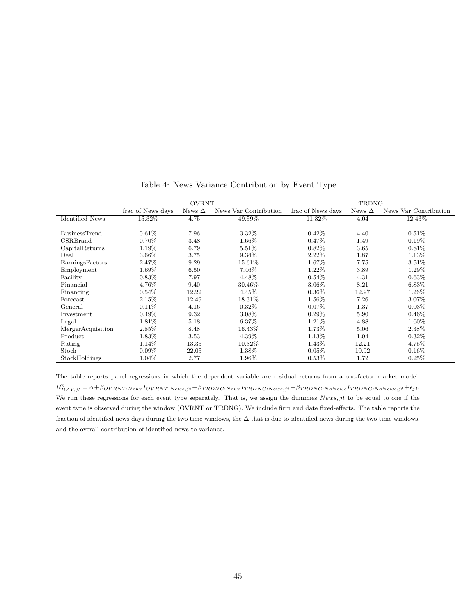|                        |                   | <b>OVRNT</b>  |                       |                   | <b>TRDNG</b>  |                       |
|------------------------|-------------------|---------------|-----------------------|-------------------|---------------|-----------------------|
|                        | frac of News days | News $\Delta$ | News Var Contribution | frac of News days | News $\Delta$ | News Var Contribution |
| <b>Identified News</b> | 15.32\%           | 4.75          | 49.59%                | 11.32%            | 4.04          | 12.43%                |
| <b>BusinessTrend</b>   | 0.61%             | 7.96          | 3.32\%                | $0.42\%$          | 4.40          | 0.51%                 |
| CSRBrand               | $0.70\%$          | 3.48          | 1.66%                 | 0.47%             | 1.49          | $0.19\%$              |
| CapitalReturns         | 1.19%             | 6.79          | 5.51\%                | 0.82%             | 3.65          | 0.81%                 |
| Deal                   | 3.66%             | 3.75          | $9.34\%$              | 2.22\%            | 1.87          | 1.13%                 |
| EarningsFactors        | 2.47%             | 9.29          | 15.61%                | 1.67%             | 7.75          | 3.51%                 |
| Employment             | 1.69%             | 6.50          | $7.46\%$              | 1.22%             | 3.89          | 1.29%                 |
| Facility               | 0.83%             | 7.97          | 4.48%                 | 0.54%             | 4.31          | 0.63%                 |
| Financial              | 4.76%             | 9.40          | 30.46\%               | 3.06%             | 8.21          | 6.83%                 |
| Financing              | 0.54%             | 12.22         | 4.45\%                | $0.36\%$          | 12.97         | 1.26\%                |
| Forecast               | 2.15%             | 12.49         | 18.31%                | 1.56%             | 7.26          | 3.07%                 |
| General                | 0.11%             | 4.16          | $0.32\%$              | $0.07\%$          | 1.37          | 0.03%                 |
| Investment             | $0.49\%$          | 9.32          | 3.08%                 | $0.29\%$          | 5.90          | $0.46\%$              |
| Legal                  | 1.81\%            | 5.18          | $6.37\%$              | 1.21\%            | 4.88          | 1.60%                 |
| MergerAcquisition      | 2.85%             | 8.48          | 16.43\%               | 1.73%             | 5.06          | 2.38%                 |
| Product                | 1.83%             | 3.53          | 4.39%                 | 1.13%             | 1.04          | $0.32\%$              |
| Rating                 | 1.14%             | 13.35         | 10.32\%               | 1.43%             | 12.21         | 4.75%                 |
| Stock                  | $0.09\%$          | 22.05         | 1.38%                 | 0.05%             | 10.92         | $0.16\%$              |
| StockHoldings          | 1.04%             | 2.77          | 1.96%                 | 0.53%             | 1.72          | 0.25%                 |

Table 4: News Variance Contribution by Event Type

The table reports panel regressions in which the dependent variable are residual returns from a one-factor market model:  $R^2_{DAY,jt} = \alpha + \beta_{OVRNT:News} I_{OVRNT:News,jt} + \beta_{TRDNG:News} I_{TRDNG:News,jt} + \beta_{TRDNG: Noweus} I_{TRDNG: Noweus,jt} + \epsilon_{jt}.$ We run these regressions for each event type separately. That is, we assign the dummies *News, jt* to be equal to one if the event type is observed during the window (OVRNT or TRDNG). We include firm and date fixed-effects. The table reports the fraction of identified news days during the two time windows, the  $\Delta$  that is due to identified news during the two time windows, and the overall contribution of identified news to variance.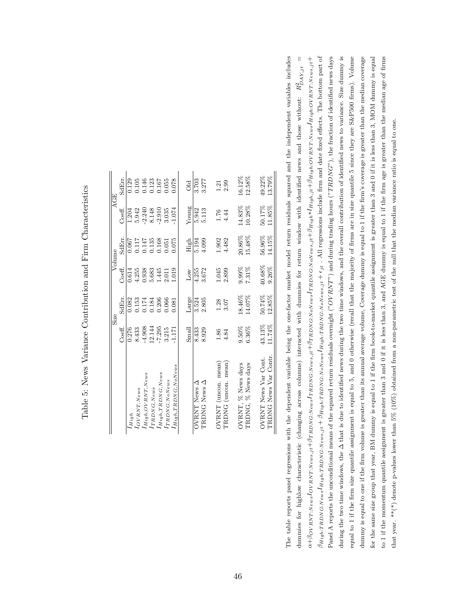| <b>AGE</b> | SdErr. | 0.129      | 0.105       | 0.146                 | 0.123             | 0.167                     | 0.55               | 0.078                                 | dd               | 3.703               | 3.277        | 1.21                | 2.99               | 16.12%             | 12.58%             | 49.22%               | 13.79%                |
|------------|--------|------------|-------------|-----------------------|-------------------|---------------------------|--------------------|---------------------------------------|------------------|---------------------|--------------|---------------------|--------------------|--------------------|--------------------|----------------------|-----------------------|
|            | Coeff. | 1.204      | 5.942       | $-2.240$              | 8.148             | $-2.910$                  | 3.035              | $-1.074$                              | Young            | 5.942               | 5.113        | 1.76                | 4.44               | 14.83%             | 10.28%             | 50.17%               | 11.85%                |
| Volume     | SdErr. | 0.067      | 0.117       | 0.147                 | 0.135             | 0.168                     | 0.051              | 0.075                                 | High             | 5.194               | 4.099        | 1.902               | 4.482              | 20.86%             | 15.48%             | 56.96%               | 14.15%                |
|            | Coeff. | 0.614      | 4.255       | 0.938                 | 5.683             | 1.445                     | 2.011              | 1.019                                 | Low              | 4.255               | 3.672        | 1.045               | 2.899              | 9.99%              | 7.31%              | 40.68%               | 9.26%                 |
| Size       | SdErr. | 0.082      | 0.153       | 0.174                 | 0.184             | 0.206                     | 0.066              | 0.081                                 | Large            | 3.524               | 2.805        | 1.28                | 3.07               | 18.46%             | 14.07%             | 50.74%               | 12.85%                |
|            | Coeff. | 0.276      | 8.433       | $-4.908$              | 12.144            | $-7.295$                  | 3.215              | 1.171                                 | S <sub>mal</sub> | 8.433               | 8.929        | 1.86                | 4.84               | 9.50%              | $6.36\%$           | 43.13%               | 11.74%                |
|            |        | $I_{High}$ | IOVRT, News | $I_{High,OVRNT,News}$ | $I_{TRDNG, News}$ | $I_{High, T\,RDNG, News}$ | $I_{TRDNG,NoNews}$ | $I$ $High, T$ $RD$ $NG, No$ $N$ $ews$ |                  | <b>OVRNT News A</b> | TRDNG News A | OVRNT (uncon. mean) | TRDNG (uncon. mean | OVRNT, % News days | TRDNG, % News days | OVRNT News Var Cont. | TRDNG News Var Contr. |

Table 5: News Variance Contribution and Firm Characteristics Table 5: News Variance Contribution and Firm Characteristics

 $\mathcal{H}ijhi. TRDNG: News Hijhi. TRDNG: News,jt + \beta Hijhi. TRDNG: NoNews Hijhi. TRDNG: Now News,jt + \epsilon_{jt} . All regressions include firm and date fixed effects. The bottom part of the data is a 3.5\% of the data is 3.5\% of the data is 3.5\% of the data is 3.5\% of the data is 3.5\% of the data is 3.5\% of the data is 3.5\% of the data is 3.5\% of the data is 3.5\% of the data is 3.5\% of the data is 3.5\% of the data is 3.5\% of the data is 3.5\% of the data is 3.5\% of the data is$ Panel A reports the unconditional means of the squared return residuals overnight ("OVRNT") and during trading hours ("TRDNG"), the fraction of identified news days during the two time windows, the  $\Delta$  that is due to identified news during the two time windows, and the overall contribution of identified news to variance. Size dummy is equal to 1 if the firm size quantile assignment is equal to 5, and 0 otherwise (recall that the majority of firms are in size quantile 5 since they are S&P500 firms). Volume The table reports panel regressions with the dependent variable being the one-factor market model return residuals squared and the independent variables includes dummies for highlow characteristic (changing across columns) interacted with dummies for return window with identified news and those without:  $R_{DAY,jt}^2$  =  $\alpha+\beta$ OV RNT:News  $I$ OV RNT:News,jt $+\beta$ T RDNG:News $I_T$ RDNG:News,jt $+\beta$ T RDNG:NoNews $I_T$ RDNG:NoNews,jt $+\beta$ High,jt $+$  $\beta$ High;OV RNT:News,jt $+$ dummy is equal to one if the firm volume is greater than its annual average volume, Coverage dummy is equal to 1 if the firm's coverage is greater than the median coverage for the same size group that year, BM dummy is equal to 1 if the firm book-to-market quantile assignment is greater than 3 and 0 if it is less than 3, MOM dummy is equal The table reports panel regressions with the dependent variable being the one-factor market model return residuals squared and the independent variables includes  $\beta_{High: TRDNC}$   $\alpha_{IN}$   $I_{High: TRDNC}$ ,  $\beta_{High: TRDNC}$ ,  $\beta_{High: TRDNC}$ ,  $\alpha_{News}$   $I_{High: TRDNC}$ ,  $\alpha_{News}$ ,  $i_t + \epsilon_{jt}$ . All regressions include firm and date fixed effects. The bottom part of during the two time windows, the that is due to identified news during the two time windows, and the overall contribution of identified news to variance. Size dummy is equal to 1 if the firm size quantile assignment is equal to 5, and 0 otherwise (recall that the majority of firms are in size quantile 5 since they are S&P500 firms). Volume dummy is equal to one if the firm volume is greater than its annual average volume, Coverage dummy is equal to 1 if the firm's coverage is greater than the median coverage for the same size group that year, BM dummy is equal to 1 if the firm book-to-market quantile assignment is greater than 3 and 0 if it is less than 3, MOM dummy is equal to 1 if the momentum quantile assignment is greater than 3 and 0 if it is less than 3, and AGE dummy is equal to 1 if the firm age is greater than the median age of firms dummies for highlow characteristic (changing across columns) interacted with dummies for return window with identified news and those without:  $R_{DAY,jt}^2$  =  $\alpha+\beta$ OVRNT:NewsJOVRNT:News,jt+|9TRDNG:NewsJTRDNG:News,jt+|9TRDNG:NoNewsJTRDNG:NoNews,jt+|9High;4+|9High;OVRNT:NewsJHigh;OVRNT:News,jt+ Panel A reports the unconditional means of the squared return residuals overnight ("*OV RNT*") and during trading hours ("*T RDNG*"), the fraction of identified news days to 1 if the momentum quantile assignment is greater than 3 and 0 if it is less than 3, and AGE dummy is equal to 1 if the firm age is greater than the median age of firms that year. \*\*(\*) denote p-values lower than  $5\%$  (10%) obtained from a non-parametric test of the null that the median variance ratio is equal to one. that year. \*\*(\*) denote p-values lower than 5% (10%) obtained from a non-parametric test of the null that the median variance ratio is equal to one.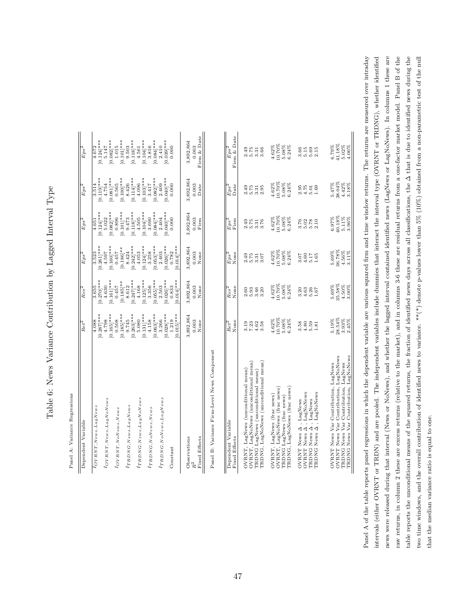| l                 |
|-------------------|
| I                 |
|                   |
| $\frac{1}{2}$     |
| i<br>Samuel Sales |
|                   |
| l<br>I            |
|                   |
| くべつ               |
|                   |
|                   |
| ۱                 |
| i                 |
|                   |
|                   |
| ı                 |
|                   |
|                   |
| ı                 |
| ì                 |
| Ì                 |
|                   |
| くらく               |
|                   |
|                   |
|                   |
| Ì                 |
|                   |
|                   |
| j                 |
| ı                 |
| ֡֓                |
|                   |
| I<br>ī            |
| J                 |
| I                 |

| Dependent Variable                                                                                                                                       | $Ret^2$                                                   | Res <sup>2</sup>                               | $Eps^2$                                 | $Eps^2$                                                              | $Eps^2$                         | $Eps^2$                                   |
|----------------------------------------------------------------------------------------------------------------------------------------------------------|-----------------------------------------------------------|------------------------------------------------|-----------------------------------------|----------------------------------------------------------------------|---------------------------------|-------------------------------------------|
|                                                                                                                                                          |                                                           |                                                |                                         |                                                                      |                                 |                                           |
| $I\diamond VRMT, News, LagNews$                                                                                                                          | $0.287$ <sup>***</sup><br>4.088                           | $0.270$ <sup>***</sup><br>3.655                | $0.261]***$<br>3.523                    | $0.124]***$<br>4.651                                                 | $0.119]***$<br>3.514            | $0.124]***$<br>4.672                      |
| $IoVRNT, News, LagNo News$                                                                                                                               | 4.798                                                     | 4.630                                          | 4.597                                   | 5.022                                                                | 4.754                           | 5.147                                     |
|                                                                                                                                                          | $[0.165]$ ***                                             | $0.161]$ ***                                   | $0.160]$ ***                            | $0.082]***$                                                          | $0.081]$ ***                    | $0.082]***$                               |
| $IOVRNT, NoNews, News$                                                                                                                                   | $[0.185]$ ***<br>0.508                                    | $0.185$ <sup>**</sup><br>0.457                 | $[0.186]$ **<br>0.457                   | $[0.101]$ ***<br>0.896                                               | $[0.100]$ ***<br>0.565          | $[0.101]$ ***<br>1.015                    |
| $\label{eq:trans} \begin{array}{l} \begin{array}{l} \begin{smallmatrix} I_T \to D N G, N e w s, L a g N e w s \end{smallmatrix} \end{array} \end{array}$ | 9.745                                                     | 8.612                                          | 8.424                                   | 9.473                                                                | 8.426                           | 9.503                                     |
| $\label{eq:trab} I_{TRDNG, News, LagNo News}$                                                                                                            | $[0.263]$ ***<br>5.080                                    | $0.247$ <sup>***</sup><br>4.168                | $[0.242]$ ***<br>4.053                  | $0.118$ <sup>***</sup><br>4.505                                      | $[0.114]$ ***<br>4.096          | $[0.118]$ ***<br>4.561                    |
|                                                                                                                                                          | $[0.131]$ ***                                             | $[0.125]$ ***                                  | $0.124$ <sup>***</sup>                  | $[0.104]$ ***                                                        | $[0.103]$ ***                   | $[0.104]$ ***                             |
| $I_{T}$ RDN $G, NoNews, News$                                                                                                                            | $[0.063]$ ***<br>4.158                                    | $0.055$ <sup>***</sup><br>3.356                | $0.053$ <sup>***</sup><br>3.258         | $0.084]***$<br>3.690                                                 | $0.082$ <sup>***</sup><br>3.417 | $[0.084]$ ***<br>3.816                    |
| $\label{eq:trans} \begin{array}{l} {I}_{TRDNG,NoNews, LagNews} \end{array}$                                                                              | 3.266                                                     | 2.503                                          | 2.403                                   | 2.404                                                                | 2.409                           | 2.410                                     |
| Constant                                                                                                                                                 | $0.015$ <sup>***</sup><br>$0.028$ <sup>***</sup><br>1.219 | $0.026$ <sup>***</sup><br>$0.014]***$<br>0.833 | $[0.014]$ ***<br>$[0.026]$ ***<br>0.782 | $0.040$ <sup>***</sup><br>0.000                                      | $0.040]$ ***<br>0.000           | $[0.039]$ ***<br>0.000                    |
| Observations                                                                                                                                             | 3,892,864                                                 | 3,892,864                                      | 3,892,864                               | 3,892,864                                                            | 3,892,864                       | 3,892,864                                 |
| $R^2$                                                                                                                                                    | 0.003                                                     | 0.003                                          | 0.003                                   | 0.003                                                                | 0.003                           | 0.003                                     |
| Fixed Effects                                                                                                                                            | None                                                      | None                                           | None                                    | Firm                                                                 | Date                            | Firm & Date                               |
| Panel B: Variance Firm-Level News Component                                                                                                              |                                                           |                                                |                                         |                                                                      |                                 |                                           |
| Dependent Variable                                                                                                                                       | $Ret^2$                                                   | Res <sup>2</sup>                               | $Eps^2$                                 | $Eps^2$                                                              | $Eps^2$                         | $Eps^2$                                   |
| Fixed Effects                                                                                                                                            | None                                                      | None                                           | None                                    | Firm                                                                 | Date                            | Firm & Date                               |
| OVRNT, LagNews (unconditional mean)                                                                                                                      |                                                           | 2.60                                           | 2.49                                    | 2.49                                                                 | 2.49                            | 2.49                                      |
| OVRNT, LagNoNews (unconditional mean)                                                                                                                    | $\frac{3.19}{7.23}$                                       | 5.93                                           | 5.75                                    | 5.75                                                                 | 5.75                            | 5.75                                      |
| TRDNG LagNews (unconditional mean)                                                                                                                       | $4.62$<br>3.58                                            | 3.20                                           | 3.31                                    | 3.31                                                                 | 3.31                            | $3.31$<br>$3.66$                          |
| TRDNG, LagNoNews (unconditional mean)                                                                                                                    |                                                           |                                                | 3.07                                    | 3.76                                                                 | 2.95                            |                                           |
| OVRNT, LagNews (frac news)                                                                                                                               | $4.62\%$<br>10.70%                                        | $\frac{4.62\%}{10.70\%}$                       | $4.62\%$                                |                                                                      | $4.62\%$                        | $4.62\%$<br>10.70%                        |
| OVRNT, LagNoNews (frac news)                                                                                                                             |                                                           |                                                | 10.70%                                  |                                                                      | 10.70%                          |                                           |
| TRDNG LagNews (frac news)                                                                                                                                | $5.08\%$<br>$6.24\%$                                      | $5.08\%$<br>$6.24\%$                           | $5.08\%$<br>$6.24\%$                    | $\begin{array}{l} 4.62\% \\ 10.70\% \\ 5.08\% \\ 6.24\% \end{array}$ | $5.08\%$<br>6.24%               | $5.08%$<br>6.24%                          |
| TRDNG, LagNoNews (frac news)                                                                                                                             |                                                           |                                                |                                         |                                                                      |                                 |                                           |
|                                                                                                                                                          |                                                           |                                                | 3.07                                    |                                                                      |                                 |                                           |
| OVRNT News $\Delta$ , LagNews COVRNT News $\Delta$ , LagNoNews TRDNG News $\Delta$ , LagNews TRDNG News $\Delta$ , LagNews                               | $38837$<br>$3937$                                         | $3.\overline{3}0$<br>$4.\overline{6}3$         | $4.60$                                  | 3.76<br>5.02                                                         | $2.95$<br>$4.75$                | 60 10 10 10<br>60 10 10 11<br>60 11 10 11 |
|                                                                                                                                                          |                                                           |                                                |                                         |                                                                      |                                 |                                           |
|                                                                                                                                                          |                                                           | $5.26$<br>$1.67$                               | $\frac{5.17}{1.65}$                     | $\frac{5.78}{2.10}$                                                  | $\frac{5.01}{1.69}$             |                                           |

news were released during that interval (News or NoNews), and whether the lagged interval contained identified news (LagNews or LagNoNews). In columns 1 these are raw returns, in column 2 these are excess returns (relative to the market), and in columns 3-6 these are residual returns from a one-factor market model. Panel B of the table reports the unconditional means of the squared returns, the fraction of identified news days across all classifications, the  $\Delta$  that is due to identified news during the Panel A of the table reports panel regressions in which the dependent variable are various squared firm and time window returns. The returns are measured over intraday two time windows, and the overall contribution of identified news to variance. \*\*(\*) denote p-values lower than 5% (10%) obtained from a non-parametric test of the null Panel A of the table reports panel regressions in which the dependent variable are various squared firm and time window returns. The returns are measured over intraday intervals (either OVRNT or TRDN) and are pooled. The independent variables include dummies that interact the interval type (OVRNT or TRDNG), whether identified news were released during that interval (News or NoNews), and whether the lagged interval contained identified news (LagNews or LagNoNews). In columns 1 these are table reports the unconditional means of the squared returns, the fraction of identified news days across all classifications, the that is due to identified news during the two time windows, and the overall contribution of identified news to variance. \*\*(\*) denote p-values lower than 5% (10%) obtained from a non-parametric test of the null intervals (either OVRNT or TRDN) and are pooled. The independent variables include dummies that interact the interval type (OVRNT or TRDNG), whether identified raw returns, in column 2 these are excess returns (relative to the market), and in columns 3-6 these are residual returns from a one-factor market model. Panel B of the that the median variance ratio is equal to one. that the median variance ratio is equal to one.

OVRNT News Var Contribution, LagNews 5.19% 5.69% 5.69% 5.69% 6.97% 5.47% 6.79%  $\text{OWBNT}$  News Var Contribution, LagNoNews 28.54% 35.58% 36.78% 40.18% 38.04% 38.04% 41.18% TRDNG News Var Contribution, LagNews 3.93% 4.50% 4.56% 5.11% 5.11% 4.42% 5.02% TRDNG News Var Contribution, LagNoNews 2.45% 3.00% 3.11% 3.12% 3.96% 3.18% 4.06%

 $\begin{array}{l} 6.79\% \\ 41.18\% \\ 5.02\% \\ 4.06\% \end{array}$ 

 $\begin{array}{l} 5.47\% \\ 38.04\% \\ 4.42\% \\ 3.18\% \end{array}$ 

 $\begin{array}{c} 6.97\% \\ 40.18\% \\ 5.11\% \\ 3.96\% \end{array}$ 

 $\begin{array}{l} 5.69\% \\ 36.78\% \\ 4.56\% \\ 3.11\% \end{array}$ 

 $\begin{array}{l} 5.69\% \\ 35.58\% \\ 4.50\% \\ 3.00\% \end{array}$ 

 $\begin{array}{l} 5.19\% \\ 28.54\% \\ 3.93\% \\ 2.45\% \end{array}$ 

OVRNT News Var Contribution, LagNews<br>OVRNT News Var Contribution, LagNoNews<br>TRDNG News Var Contribution, LagNoNews<br>TRDNG News Var Contribution, LagNoNews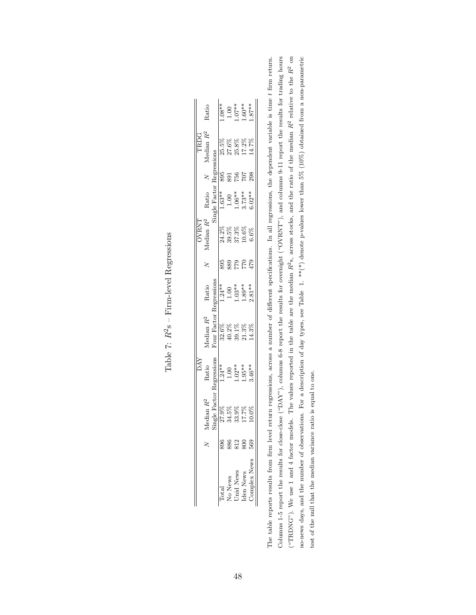|              | Ratio                    |              |      |                                                   |                         | $\begin{array}{@{}ll@{}} \begin{array}{c} * \ * \\ 0 \ 0 \ 0 \ 1 \end{array} & \begin{array}{c} * \ * \\ 1 \ 0 \ 0 \end{array} & \begin{array}{c} * \ * \\ 0 \ 0 \ 0 \end{array} & \begin{array}{c} * \ * \\ 0 \ 0 \ 0 \end{array} & \begin{array}{c} * \ * \\ 0 \ 0 \ 0 \end{array} & \begin{array}{c} * \ * \\ 0 \ 0 \ 0 \end{array} & \begin{array}{c} * \ * \\ 0 \ 0 \ 0 \end{array} & \begin{array}{c} * \ * \\ 0 \ 0 \ 0 \end{array} & \begin{array}{c$ |             |                                                                            |  |
|--------------|--------------------------|--------------|------|---------------------------------------------------|-------------------------|---------------------------------------------------------------------------------------------------------------------------------------------------------------------------------------------------------------------------------------------------------------------------------------------------------------------------------------------------------------------------------------------------------------------------------------------------------------|-------------|----------------------------------------------------------------------------|--|
| TRDG         | $\Delta$ dian $R^2$      |              |      |                                                   |                         | 25.5%<br>27.6%<br>27.27.7%<br>28.27.7%                                                                                                                                                                                                                                                                                                                                                                                                                        |             |                                                                            |  |
|              |                          | Regre        |      | 108                                               | 756                     | $707$                                                                                                                                                                                                                                                                                                                                                                                                                                                         | 298         |                                                                            |  |
|              | Ratio                    |              |      | $\frac{\text{Single Factor } \textbf{r}}{1.63**}$ |                         |                                                                                                                                                                                                                                                                                                                                                                                                                                                               |             | $\begin{array}{c} 1.00 \\ 1.06^{**} \\ 3.73^{**} \\ 6.02^{**} \end{array}$ |  |
| <b>OVRNT</b> | $A$ edian $\mathbb{R}^2$ |              |      | 24.2%<br>39.5%                                    | 37.3%                   | $\frac{10.6\%}{6.6\%}$                                                                                                                                                                                                                                                                                                                                                                                                                                        |             |                                                                            |  |
|              |                          |              | 85   | 889                                               | 779                     | 022                                                                                                                                                                                                                                                                                                                                                                                                                                                           | 479         |                                                                            |  |
|              | Ratio                    |              |      |                                                   |                         | $\begin{array}{c} \overline{1.24}^{**} \\ 1.24^{**} \\ 1.00^{**} \\ 1.03^{**} \\ 1.89^{**} \\ 2.81^{**} \end{array}$                                                                                                                                                                                                                                                                                                                                          |             |                                                                            |  |
|              | Aedian R <sup>2</sup>    |              |      |                                                   |                         | $\frac{7}{32.6\%}$<br>$\frac{32.6\%}{40.2\%}$<br>$\frac{40.2\%}{39.1\%}$<br>$\frac{21.3\%}{14.3\%}$                                                                                                                                                                                                                                                                                                                                                           |             |                                                                            |  |
| DAY          | Ratio                    |              |      |                                                   |                         | $\begin{array}{c} 1.24** \ 1.00 \ 1.00 * \ 1.95 ** \ 1.95 * \ 1.95 * \ 1.34 * \end{array}$                                                                                                                                                                                                                                                                                                                                                                    |             |                                                                            |  |
|              | ledian R <sup>2</sup>    | ingle Factor |      |                                                   | 27.9%<br>34.5%<br>33.9% | $17.7\%$                                                                                                                                                                                                                                                                                                                                                                                                                                                      | 10.0%       |                                                                            |  |
|              |                          |              |      | 86                                                | $\mathbf{C}$            | 8                                                                                                                                                                                                                                                                                                                                                                                                                                                             | ွာ          |                                                                            |  |
|              |                          |              | otal | <b>Jo News</b>                                    | Jnid News               | den News                                                                                                                                                                                                                                                                                                                                                                                                                                                      | omplex News |                                                                            |  |

Table 7:  $R^2\mathbf{s}$  – Firm-level Regressions Table 7: *R*2s – Firm-level Regressions

Columns 1-5 report the results for close-close ("DAY"), columns 6-8 report the results for overnight ("OVRNT"), and columns 9-11 report the results for trading hours ("TRDNG"). We use 1 and 4 factor models. The values reported in the table are the median  $R^2$ s, across stocks, and the ratio of the median  $R^2$  relative to the  $R^2$  on no-news days, and the number of observations. For a description of day types, see Table 1. \*\*(\*) denote p-values lower than 5% (10%) obtained from a non-parametric The table reports results from firm level return regressions, across a number of different specifications. In all regressions, the dependent variable is time t firm return. Columns 1-5 report the results for close-close ("DAY"), columns 6-8 report the results for overnight ("OVRNT"), and columns 9-11 report the results for trading hours ("TRDNG"). We use 1 and 4 factor models. The values reported in the table are the median *R*2s, across stocks, and the ratio of the median *R*2 relative to the *R*2 on no-news days, and the number of observations. For a description of day types, see Table 1. \*\*(\*) denote p-values lower than 5% (10%) obtained from a non-parametric The table reports results from firm level return regressions, across a number of different specifications. In all regressions, the dependent variable is time *t* firm return. test of the null that the median variance ratio is equal to one. test of the null that the median variance ratio is equal to one.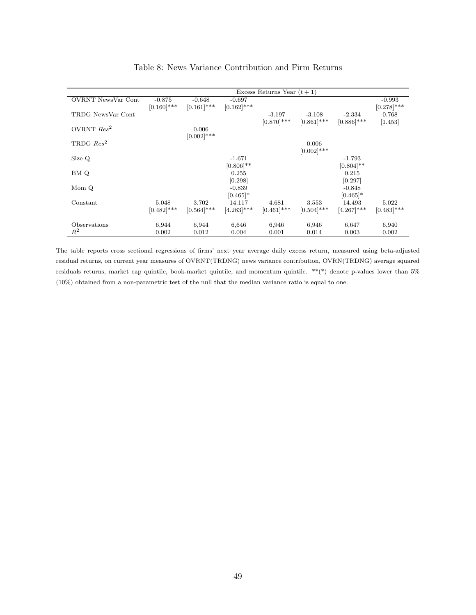|                           |               |               |                | Excess Returns Year $(t+1)$ |               |               |               |
|---------------------------|---------------|---------------|----------------|-----------------------------|---------------|---------------|---------------|
| <b>OVRNT</b> NewsVar Cont | $-0.875$      | $-0.648$      | $-0.697$       |                             |               |               | $-0.993$      |
|                           | $[0.160]$ *** | $[0.161]$ *** | $[0.162]$ ***  |                             |               |               | $[0.278]$ *** |
| TRDG NewsVar Cont         |               |               |                | $-3.197$                    | $-3.108$      | $-2.334$      | 0.768         |
|                           |               |               |                | $[0.870]$ ***               | $[0.861]$ *** | $[0.886]$ *** | [1.453]       |
| OVRNT $\mathit{Res}^2$    |               |               |                |                             |               |               |               |
|                           |               | 0.006         |                |                             |               |               |               |
|                           |               | $[0.002]$ *** |                |                             |               |               |               |
| TRDG $Res^2$              |               |               |                |                             | 0.006         |               |               |
|                           |               |               |                |                             | $[0.002]$ *** |               |               |
| Size Q                    |               |               | $-1.671$       |                             |               | $-1.793$      |               |
|                           |               |               | $[0.806]^{**}$ |                             |               | $[0.804]$ **  |               |
| BM Q                      |               |               | 0.255          |                             |               | 0.215         |               |
|                           |               |               |                |                             |               |               |               |
|                           |               |               | [0.298]        |                             |               | [0.297]       |               |
| Mom Q                     |               |               | $-0.839$       |                             |               | $-0.848$      |               |
|                           |               |               | $[0.465]$ *    |                             |               | $[0.465]$ *   |               |
| Constant                  | 5.048         | 3.702         | 14.117         | 4.681                       | 3.553         | 14.493        | 5.022         |
|                           | $[0.482]$ *** | $[0.564]$ *** | $[4.283]$ ***  | $[0.461]$ ***               | $[0.504]$ *** | $[4.267]$ *** | $[0.483]$ *** |
|                           |               |               |                |                             |               |               |               |
| Observations              | 6,944         | 6,944         | 6,646          | 6,946                       | 6,946         | 6,647         | 6,940         |
|                           |               |               |                |                             |               |               |               |
| $R^2$                     | 0.002         | 0.012         | 0.004          | 0.001                       | 0.014         | 0.003         | 0.002         |

#### Table 8: News Variance Contribution and Firm Returns

The table reports cross sectional regressions of firms' next year average daily excess return, measured using beta-adjusted residual returns, on current year measures of OVRNT(TRDNG) news variance contribution, OVRN(TRDNG) average squared residuals returns, market cap quintile, book-market quintile, and momentum quintile. \*\*(\*) denote p-values lower than 5% (10%) obtained from a non-parametric test of the null that the median variance ratio is equal to one.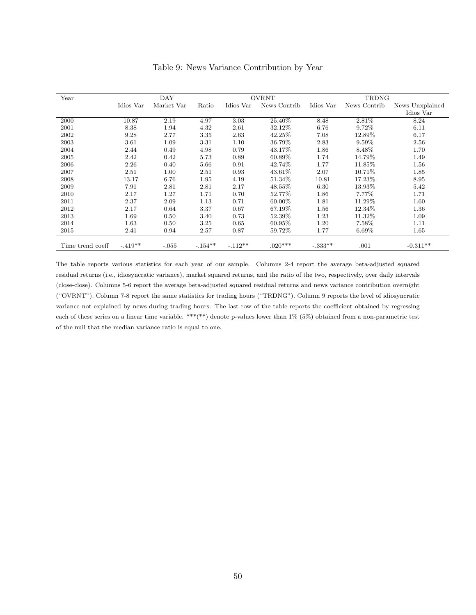| Year             |           | <b>DAY</b> |           |           | <b>OVRNT</b> |           | <b>TRDNG</b> |                 |
|------------------|-----------|------------|-----------|-----------|--------------|-----------|--------------|-----------------|
|                  | Idios Var | Market Var | Ratio     | Idios Var | News Contrib | Idios Var | News Contrib | News Unxplained |
|                  |           |            |           |           |              |           |              | Idios Var       |
| 2000             | 10.87     | 2.19       | 4.97      | 3.03      | 25.40\%      | 8.48      | 2.81%        | 8.24            |
| 2001             | 8.38      | 1.94       | 4.32      | 2.61      | 32.12\%      | 6.76      | 9.72%        | 6.11            |
| 2002             | 9.28      | 2.77       | 3.35      | 2.63      | 42.25\%      | 7.08      | 12.89%       | 6.17            |
| 2003             | 3.61      | 1.09       | 3.31      | 1.10      | 36.79%       | 2.83      | 9.59%        | 2.56            |
| 2004             | 2.44      | 0.49       | 4.98      | 0.79      | 43.17%       | 1.86      | 8.48%        | 1.70            |
| 2005             | 2.42      | 0.42       | 5.73      | 0.89      | 60.89%       | 1.74      | 14.79%       | 1.49            |
| 2006             | 2.26      | 0.40       | 5.66      | 0.91      | 42.74%       | 1.77      | 11.85%       | 1.56            |
| 2007             | 2.51      | 1.00       | 2.51      | 0.93      | 43.61\%      | 2.07      | 10.71\%      | 1.85            |
| 2008             | 13.17     | 6.76       | 1.95      | 4.19      | 51.34\%      | 10.81     | 17.23%       | 8.95            |
| 2009             | 7.91      | 2.81       | 2.81      | 2.17      | 48.55%       | 6.30      | 13.93%       | 5.42            |
| 2010             | 2.17      | 1.27       | 1.71      | 0.70      | 52.77%       | 1.86      | 7.77%        | 1.71            |
| 2011             | 2.37      | 2.09       | 1.13      | 0.71      | 60.00%       | 1.81      | 11.29%       | 1.60            |
| 2012             | 2.17      | 0.64       | 3.37      | 0.67      | 67.19%       | 1.56      | 12.34\%      | 1.36            |
| 2013             | 1.69      | 0.50       | 3.40      | 0.73      | 52.39%       | 1.23      | 11.32\%      | 1.09            |
| 2014             | 1.63      | 0.50       | 3.25      | 0.65      | 60.95%       | 1.20      | 7.58%        | 1.11            |
| 2015             | 2.41      | 0.94       | 2.57      | 0.87      | 59.72%       | 1.77      | $6.69\%$     | 1.65            |
|                  |           |            |           |           |              |           |              |                 |
| Time trend coeff | $-.419**$ | $-.055$    | $-.154**$ | $-.112**$ | $.020***$    | $-333**$  | .001         | $-0.311**$      |

Table 9: News Variance Contribution by Year

The table reports various statistics for each year of our sample. Columns 2-4 report the average beta-adjusted squared residual returns (i.e., idiosyncratic variance), market squared returns, and the ratio of the two, respectively, over daily intervals (close-close). Columns 5-6 report the average beta-adjusted squared residual returns and news variance contribution overnight ("OVRNT"). Column 7-8 report the same statistics for trading hours ("TRDNG"). Column 9 reports the level of idiosyncratic variance not explained by news during trading hours. The last row of the table reports the coefficient obtained by regressing each of these series on a linear time variable. \*\*\*(\*\*) denote p-values lower than  $1\%$  (5%) obtained from a non-parametric test of the null that the median variance ratio is equal to one.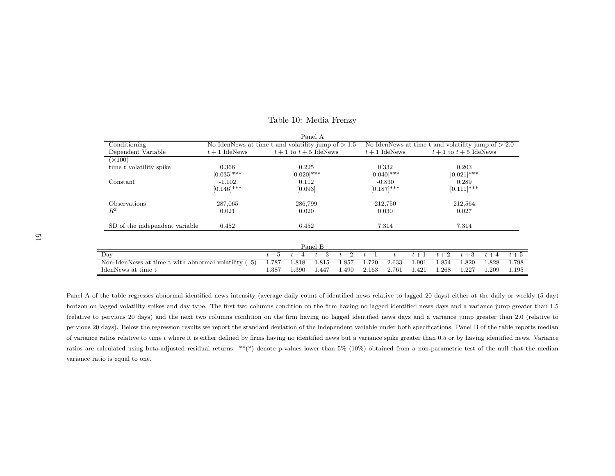|                                                          |                                                      |       |               | Panel A                |       |       |               |       |       |                                                      |       |       |
|----------------------------------------------------------|------------------------------------------------------|-------|---------------|------------------------|-------|-------|---------------|-------|-------|------------------------------------------------------|-------|-------|
| Conditioning                                             | No IdenNews at time t and volatility jump of $> 1.5$ |       |               |                        |       |       |               |       |       | No IdenNews at time t and volatility jump of $> 2.0$ |       |       |
| Dependent Variable                                       | $t+1$ IdeNews                                        |       |               | $t+1$ to $t+5$ IdeNews |       |       | $t+1$ IdeNews |       |       | $t+1$ to $t+5$ IdeNews                               |       |       |
| $(\times 100)$                                           |                                                      |       |               |                        |       |       |               |       |       |                                                      |       |       |
| time t volatility spike                                  | 0.366                                                |       | 0.225         |                        |       |       | 0.332         |       |       | 0.203                                                |       |       |
|                                                          | $[0.035]$ ***                                        |       | $[0.020]$ *** |                        |       |       | $[0.040]$ *** |       |       | $[0.021]$ ***                                        |       |       |
| Constant                                                 | $-1.102$                                             |       | 0.112         |                        |       |       | $-0.830$      |       |       | 0.289                                                |       |       |
|                                                          | $[0.146]$ ***                                        |       | [0.093]       |                        |       |       | $[0.187]$ *** |       |       | $[0.111]$ ***                                        |       |       |
| <b>Observations</b>                                      | 287,065                                              |       | 286,799       |                        |       |       | 212,750       |       |       | 212,564                                              |       |       |
| $R^2$                                                    | 0.021                                                |       | 0.020         |                        |       |       | 0.030         |       |       | 0.027                                                |       |       |
| SD of the independent variable                           | 6.452                                                |       | 6.452         |                        |       |       | 7.314         |       |       | 7.314                                                |       |       |
|                                                          |                                                      |       |               |                        |       |       |               |       |       |                                                      |       |       |
|                                                          |                                                      |       |               | Panel B                |       |       |               |       |       |                                                      |       |       |
| Day                                                      |                                                      | $t-5$ | $t -$         | $t-3$                  | $t-2$ | $t-1$ |               | $t+1$ | $t+2$ | $t+3$                                                | $t+4$ | $t+5$ |
| Non-IdenNews at time $t$ with abnormal volatility $(.5)$ |                                                      | 1.787 | 1.818         | 1.815                  | 1.857 | 1.720 | 2.633         | 1.901 | 1.854 | 1.820                                                | 1.828 | 1.798 |
| IdenNews at time t                                       |                                                      | 1.387 | 1.390         | 1.447                  | 1.490 | 2.163 | 2.761         | 1.421 | 1.268 | 1.227                                                | 1.209 | 1.195 |

#### Table 10: Media Frenzy

Panel A of the table regresses abnormal identified news intensity (average daily count of identified news relative to lagged 20 days) either at the daily or weekly (5 day) horizon on lagged volatility spikes and day type. The first two columns condition on the firm having no lagged identified news days and a variance jump greater than 1.5 (relative to pervious <sup>20</sup> days) and the next two columns condition on the firm having no lagged identified news days and <sup>a</sup> variance jump greater than 2.0 (relative to pervious <sup>20</sup> days). Below the regression results we report the standard deviation of the independent variable under both specifications. Panel <sup>B</sup> of the table reports median of variance ratios relative to time *<sup>t</sup>* where it is either defined by firms having no identified news but <sup>a</sup> variance spike greater than 0.5 or by having identified news. Variance ratios are calculated using beta-adjusted residual returns. \*\*(\*) denote p-values lower than 5% (10%) obtained from a non-parametric test of the null that the median variance ratio is equal to one.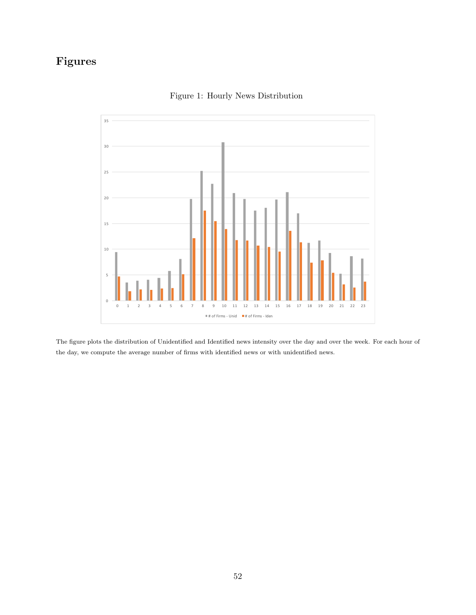# Figures



Figure 1: Hourly News Distribution

The figure plots the distribution of Unidentified and Identified news intensity over the day and over the week. For each hour of the day, we compute the average number of firms with identified news or with unidentified news.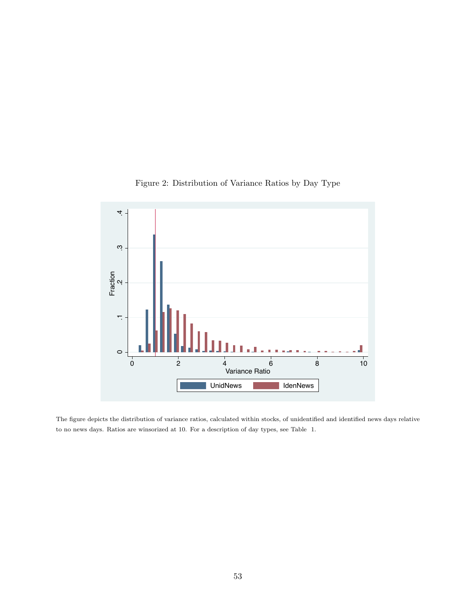

Figure 2: Distribution of Variance Ratios by Day Type

The figure depicts the distribution of variance ratios, calculated within stocks, of unidentified and identified news days relative to no news days. Ratios are winsorized at 10. For a description of day types, see Table 1.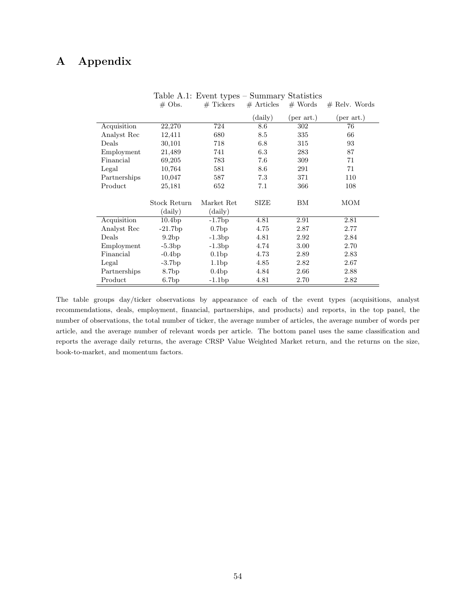# A Appendix

|              | $#$ Obs.     | $#$ Tickers | $#$ Articles | $#$ Words           | $#$ Relv. Words     |
|--------------|--------------|-------------|--------------|---------------------|---------------------|
|              |              |             | (daily)      | $(\text{per art.})$ | $(\text{per art.})$ |
| Acquisition  | 22,270       | 724         | 8.6          | 302                 | 76                  |
| Analyst Rec  | 12,411       | 680         | 8.5          | 335                 | 66                  |
| Deals        | 30,101       | 718         | 6.8          | 315                 | 93                  |
| Employment   | 21,489       | 741         | 6.3          | 283                 | 87                  |
| Financial    | 69,205       | 783         | 7.6          | 309                 | 71                  |
| Legal        | 10,764       | 581         | 8.6          | 291                 | 71                  |
| Partnerships | 10,047       | 587         | 7.3          | 371                 | 110                 |
| Product      | 25,181       | 652         | 7.1          | 366                 | 108                 |
|              |              |             |              |                     |                     |
|              | Stock Return | Market Ret  | SIZE         | BМ                  | MOM                 |
|              | (daily)      | (daily)     |              |                     |                     |
| Acquisition  | 10.4bp       | $-1.7bp$    | 4.81         | 2.91                | 2.81                |
| Analyst Rec  | $-21.7bp$    | 0.7bp       | 4.75         | 2.87                | 2.77                |
| Deals        | 9.2bp        | $-1.3bp$    | 4.81         | 2.92                | 2.84                |
| Employment   | $-5.3bp$     | $-1.3bp$    | 4.74         | 3.00                | 2.70                |
| Financial    | $-0.4bp$     | 0.1bp       | 4.73         | 2.89                | 2.83                |
| Legal        | $-3.7bp$     | 1.1bp       | 4.85         | 2.82                | 2.67                |
| Partnerships | 8.7bp        | 0.4bp       | 4.84         | 2.66                | 2.88                |
| Product      | 6.7bp        | $-1.1bp$    | 4.81         | 2.70                | 2.82                |

# Table A.1: Event types – Summary Statistics

The table groups day/ticker observations by appearance of each of the event types (acquisitions, analyst recommendations, deals, employment, financial, partnerships, and products) and reports, in the top panel, the number of observations, the total number of ticker, the average number of articles, the average number of words per article, and the average number of relevant words per article. The bottom panel uses the same classification and reports the average daily returns, the average CRSP Value Weighted Market return, and the returns on the size, book-to-market, and momentum factors.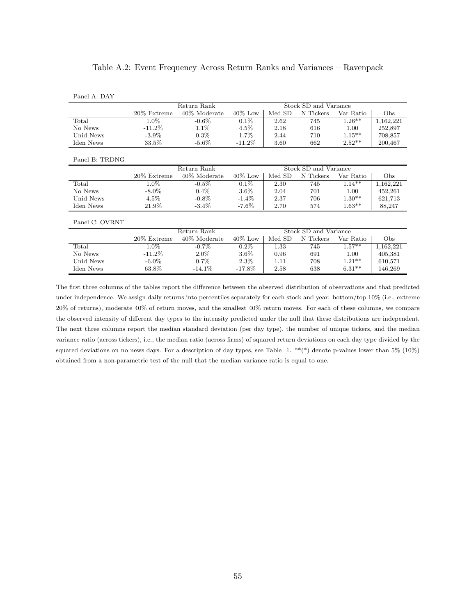| Table A.2: Event Frequency Across Return Ranks and Variances – Ravenpack |  |  |  |  |
|--------------------------------------------------------------------------|--|--|--|--|
|--------------------------------------------------------------------------|--|--|--|--|

| Panel A: DAY |  |
|--------------|--|
|--------------|--|

|                |              | Return Rank  |            |        | Stock SD and Variance |           |           |
|----------------|--------------|--------------|------------|--------|-----------------------|-----------|-----------|
|                | 20\% Extreme | 40% Moderate | $40\%$ Low | Med SD | N Tickers             | Var Ratio | Obs       |
| Total          | $1.0\%$      | $-0.6\%$     | $0.1\%$    | 2.62   | 745                   | $1.26***$ | 1,162,221 |
| No News        | $-11.2\%$    | $1.1\%$      | $4.5\%$    | 2.18   | 616                   | 1.00      | 252,897   |
| Unid News      | $-3.9\%$     | $0.3\%$      | $1.7\%$    | 2.44   | 710                   | $1.15***$ | 708,857   |
| Iden News      | 33.5%        | $-5.6\%$     | $-11.2\%$  | 3.60   | 662                   | $2.52**$  | 200,467   |
| Panel B: TRDNG |              |              |            |        |                       |           |           |
|                |              |              |            |        |                       |           |           |
|                |              |              |            |        |                       |           |           |
|                |              | Return Rank  |            |        | Stock SD and Variance |           |           |
|                | 20\% Extreme | 40% Moderate | $40\%$ Low | Med SD | N Tickers             | Var Ratio | Obs       |
| Total          | $1.0\%$      | $-0.5\%$     | $0.1\%$    | 2.30   | 745                   | $1.14***$ | 1,162,221 |
| No News        | $-8.0\%$     | $0.4\%$      | $3.6\%$    | 2.04   | 701                   | 1.00      | 452,261   |
| Unid News      | $4.5\%$      | $-0.8\%$     | $-1.4\%$   | 2.37   | 706                   | $1.30**$  | 621,713   |
| Iden News      | 21.9%        | $-3.4\%$     | $-7.6\%$   | 2.70   | 574                   | $1.63**$  | 88,247    |
| Panel C: OVRNT |              |              |            |        |                       |           |           |

|                |                | Return Rank   |            |        | Stock SD and Variance |           |           |
|----------------|----------------|---------------|------------|--------|-----------------------|-----------|-----------|
|                | $20\%$ Extreme | 40\% Moderate | $40\%$ Low | Med SD | N Tickers             | Var Ratio | Obs       |
| $_{\rm Total}$ | $1.0\%$        | $-0.7\%$      | $0.2\%$    | 1.33   | 745                   | $1.57***$ | 1.162.221 |
| No News        | $-11.2\%$      | $2.0\%$       | $3.6\%$    | 0.96   | 691                   | 1.00      | 405,381   |
| Unid News      | $-6.0\%$       | $0.7\%$       | $2.3\%$    | 1.11   | 708                   | $1.21**$  | 610.571   |
| Iden News      | 63.8%          | $-14.1\%$     | $-17.8\%$  | 2.58   | 638                   | $6.31**$  | 146,269   |

The first three columns of the tables report the difference between the observed distribution of observations and that predicted under independence. We assign daily returns into percentiles separately for each stock and year: bottom/top 10% (i.e., extreme 20% of returns), moderate 40% of return moves, and the smallest 40% return moves. For each of these columns, we compare the observed intensity of different day types to the intensity predicted under the null that these distributions are independent. The next three columns report the median standard deviation (per day type), the number of unique tickers, and the median variance ratio (across tickers), i.e., the median ratio (across firms) of squared return deviations on each day type divided by the squared deviations on no news days. For a description of day types, see Table 1. \*\*(\*) denote p-values lower than  $5\%$  (10%) obtained from a non-parametric test of the null that the median variance ratio is equal to one.